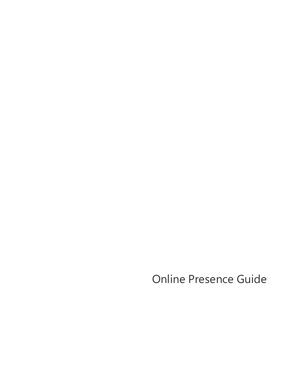Online Presence Guide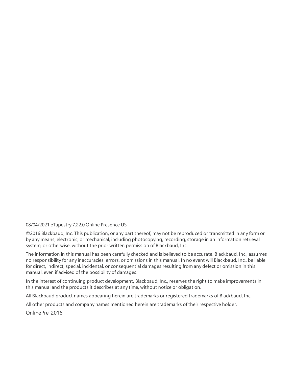#### 08/04/2021 eTapestry 7.22.0 Online Presence US

©2016 Blackbaud, Inc. This publication, or any part thereof, may not be reproduced or transmitted in any form or by any means, electronic, or mechanical, including photocopying, recording, storage in an information retrieval system, or otherwise, without the prior written permission of Blackbaud, Inc.

The information in this manual has been carefully checked and is believed to be accurate. Blackbaud, Inc., assumes no responsibility for any inaccuracies, errors, or omissions in this manual. In no event will Blackbaud, Inc., be liable for direct, indirect, special, incidental, or consequential damages resulting from any defect or omission in this manual, even if advised of the possibility of damages.

In the interest of continuing product development, Blackbaud, Inc., reserves the right to make improvements in this manual and the products it describes at any time, without notice or obligation.

All Blackbaud product names appearing herein are trademarks or registered trademarks of Blackbaud, Inc.

All other products and company names mentioned herein are trademarks of their respective holder.

OnlinePre-2016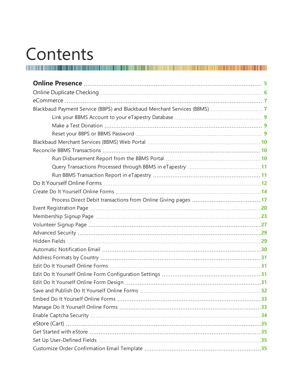# Contents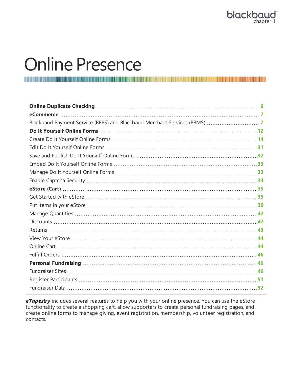## <span id="page-4-0"></span>Online Presence

*eTapestry* includes several features to help you with your online presence. You can use the eStore functionality to create a shopping cart, allow supporters to create personal fundraising pages, and create online forms to manage giving, event registration, membership, volunteer registration, and contacts.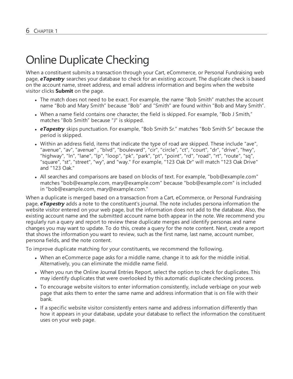## <span id="page-5-0"></span>Online Duplicate Checking

When a constituent submits a transaction through your Cart, eCommerce, or Personal Fundraising web page, *eTapestry* searches your database to check for an existing account. The duplicate check is based on the account name, street address, and email address information and begins when the website visitor clicks **Submit** on the page.

- The match does not need to be exact. For example, the name "Bob Smith" matches the account name "Bob and Mary Smith" because "Bob" and "Smith" are found within "Bob and Mary Smith".
- When a name field contains one character, the field is skipped. For example, "Bob J Smith," matches "Bob Smith" because "J" is skipped.
- **eTapestry** skips punctuation. For example, "Bob Smith Sr." matches "Bob Smith Sr" because the period is skipped.
- Within an address field, items that indicate the type of road are skipped. These include "ave", "avenue", "av", "avenue" , "blvd", "boulevard", "cir", "circle", "ct", "court", "dr", "drive", "hwy", "highway", "ln", "lane", "lp", "loop", "pk", "park", "pt", "point", "rd", "road", "rt", "route", "sq", "square", "st", "street", "wy", and "way." For example, "123 Oak Dr" will match "123 Oak Drive" and "123 Oak."
- All searches and comparisons are based on blocks of text. For example, "bob@example.com" matches "bob@example.com, mary@example.com" because "bob@example.com" is included in "bob@example.com, mary@example.com."

When a duplicate is merged based on a transaction from a Cart, eCommerce, or Personal Fundraising page, *eTapestry* adds a note to the constituent's journal. The note includes persona information the website visitor entered on your web page, but the information does not add to the database. Also, the existing account name and the submitted account name both appear in the note. We recommend you regularly run a query and report to review these duplicate merges and identify personas and name changes you may want to update. To do this, create a query for the note content. Next, create a report that shows the information you want to review, such as the first name, last name, account number, persona fields, and the note content.

To improve duplicate matching for your constituents, we recommend the following.

- When an eCommerce page asks for a middle name, change it to ask for the middle initial. Alternatively, you can eliminate the middle name field.
- When you run the Online Journal Entries Report, select the option to check for duplicates. This may identify duplicates that were overlooked by this automatic duplicate checking process.
- To encourage website visitors to enter information consistently, include verbiage on your web page that asks them to enter the same name and address information that is on file with their bank.
- If a specific website visitor consistently enters name and address information differently than how it appears in your database, update your database to reflect the information the constituent uses on your web page.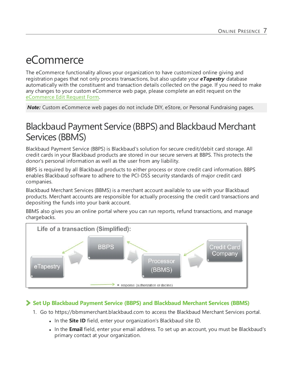## <span id="page-6-0"></span>eCommerce

The eCommerce functionality allows your organization to have customized online giving and registration pages that not only process transactions, but also update your *eTapestry* database automatically with the constituent and transaction details collected on the page. If you need to make any changes to your custom eCommerce web page, please complete an edit request on the [eCommerce](https://app.etapestry.com/hosted/eTapestry/ecommerce/index.php?requestType=ecommEdit) Edit Request Form.

<span id="page-6-1"></span>*Note:* Custom eCommerce web pages do not include DIY, eStore, or Personal Fundraising pages.

## Blackbaud Payment Service (BBPS) and Blackbaud Merchant Services (BBMS)

Blackbaud Payment Service (BBPS) is Blackbaud's solution for secure credit/debit card storage. All credit cards in your Blackbaud products are stored in our secure servers at BBPS. This protects the donor's personal information as well as the user from any liability.

BBPS is required by all Blackbaud products to either process or store credit card information. BBPS enables Blackbaud software to adhere to the PCI-DSS security standards of major credit card companies.

Blackbaud Merchant Services (BBMS) is a merchant account available to use with your Blackbaud products. Merchant accounts are responsible for actually processing the credit card transactions and depositing the funds into your bank account.

BBMS also gives you an online portal where you can run reports, refund transactions, and manage chargebacks.



### **Set Up Blackbaud Payment Service (BBPS) and Blackbaud Merchant Services (BBMS)**

- 1. Go to https://bbmsmerchant.blackbaud.com to access the Blackbaud Merchant Services portal.
	- **In the Site ID** field, enter your organization's Blackbaud site ID.
	- In the **Email** field, enter your email address. To set up an account, you must be Blackbaud's primary contact at your organization.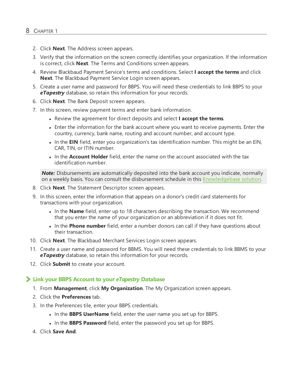- 2. Click **Next**. The Address screen appears.
- 3. Verify that the information on the screen correctly identifies your organization. If the information is correct, click **Next**. The Terms and Conditions screen appears.
- 4. Review Blackbaud Payment Service's terms and conditions. Select **I accept the terms** and click **Next**. The Blackbaud Payment Service Login screen appears.
- 5. Create a user name and password for BBPS. You will need these credentials to link BBPS to your *eTapestry* database, so retain this information for your records.
- 6. Click **Next**. The Bank Deposit screen appears.
- 7. In this screen, review payment terms and enter bank information.
	- <sup>l</sup> Review the agreement for direct deposits and select **I accept the terms**.
	- Enter the information for the bank account where you want to receive payments. Enter the country, currency, bank name, routing and account number, and account type.
	- . In the **EIN** field, enter you organization's tax identification number. This might be an EIN, CAR, TIN, or ITIN number.
	- In the **Account Holder** field, enter the name on the account associated with the tax identification number.

**Note:** Disbursements are automatically deposited into the bank account you indicate, normally on a weekly basis. You can consult the disbursement schedule in this [Knowledgebase](https://kb.blackbaud.com/articles/Article/57071) solution.

- 8. Click **Next**. The Statement Descriptor screen appears.
- 9. In this screen, enter the information that appears on a donor's credit card statements for transactions with your organization.
	- In the **Name** field, enter up to 18 characters describing the transaction. We recommend that you enter the name of your organization or an abbreviation if it does not fit.
	- In the **Phone number** field, enter a number donors can call if they have questions about their transaction.
- 10. Click **Next**. The Blackbaud Merchant Services Login screen appears.
- 11. Create a user name and password for BBMS. You will need these credentials to link BBMS to your *eTapestry* database, so retain this information for your records.
- <span id="page-7-0"></span>12. Click **Submit** to create your account.

#### **Link your BBPS Account to your** *eTapestry* **Database**

- 1. From **Management**, click **My Organization**. The My Organization screen appears.
- 2. Click the **Preferences** tab.
- 3. In the Preferences tile, enter your BBPS credentials.
	- In the **BBPS UserName** field, enter the user name you set up for BBPS.
	- In the **BBPS Password** field, enter the password you set up for BBPS.
- 4. Click **Save And**.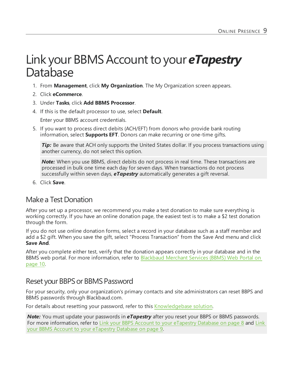## <span id="page-8-0"></span>Link your BBMS Account to your **eTapestry** Database

- 1. From **Management**, click **My Organization**. The My Organization screen appears.
- 2. Click **eCommerce**.
- 3. Under **Tasks**, click **Add BBMS Processor**.
- 4. If this is the default processor to use, select **Default**. Enter your BBMS account credentials.
- 5. If you want to process direct debits (ACH/EFT) from donors who provide bank routing information, select **Supports EFT**. Donors can make recurring or one-time gifts.

*Tip:* Be aware that ACH only supports the United States dollar. If you process transactions using another currency, do not select this option.

*Note:* When you use BBMS, direct debits do not process in real time. These transactions are processed in bulk one time each day for seven days. When transactions do not process successfully within seven days, *eTapestry* automatically generates a gift reversal.

6. Click **Save**.

### <span id="page-8-1"></span>Make a Test Donation

After you set up a processor, we recommend you make a test donation to make sure everything is working correctly. If you have an online donation page, the easiest test is to make a \$2 test donation through the form.

If you do not use online donation forms, select a record in your database such as a staff member and add a \$2 gift. When you save the gift, select "Process Transaction" from the Save And menu and click **Save And**.

After you complete either test, verify that the donation appears correctly in your database and in the BBMS web portal. For more information, refer to [Blackbaud](#page-9-0) Merchant Services (BBMS) Web Portal on [page](#page-9-0) 10.

### <span id="page-8-2"></span>Reset your BBPS or BBMS Password

For your security, only your organization's primary contacts and site administrators can reset BBPS and BBMS passwords through Blackbaud.com.

For details about resetting your password, refer to this [Knowledgebase](https://kb.blackbaud.com/articles/Article/49655) solution.

*Note:* You must update your passwords in *eTapestry* after you reset your BBPS or BBMS passwords. For more information, refer to Link your BBPS Account to your [eTapestry](#page-7-0) Database on page 8 and [Link](#page-8-0) your BBMS Account to your [eTapestry](#page-8-0) Database on page 9.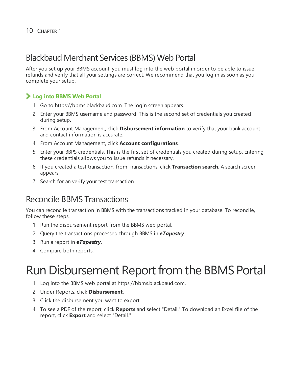## <span id="page-9-0"></span>Blackbaud Merchant Services (BBMS) Web Portal

After you set up your BBMS account, you must log into the web portal in order to be able to issue refunds and verify that all your settings are correct. We recommend that you log in as soon as you complete your setup.

### **Log into BBMS Web Portal**

- 1. Go to https://bbms.blackbaud.com. The login screen appears.
- 2. Enter your BBMS username and password. This is the second set of credentials you created during setup.
- 3. From Account Management, click **Disbursement information** to verify that your bank account and contact information is accurate.
- 4. From Account Management, click **Account configurations**.
- 5. Enter your BBPS credentials. This is the first set of credentials you created during setup. Entering these credentials allows you to issue refunds if necessary.
- 6. If you created a test transaction, from Transactions, click **Transaction search**. A search screen appears.
- 7. Search for an verify your test transaction.

## <span id="page-9-1"></span>Reconcile BBMS Transactions

You can reconcile transaction in BBMS with the transactions tracked in your database. To reconcile, follow these steps.

- 1. Run the disbursement report from the BBMS web portal.
- 2. Query the transactions processed through BBMS in *eTapestry*.
- 3. Run a report in *eTapestry*.
- <span id="page-9-2"></span>4. Compare both reports.

## Run Disbursement Report from the BBMS Portal

- 1. Log into the BBMS web portal at https://bbms.blackbaud.com.
- 2. Under Reports, click **Disbursement**.
- 3. Click the disbursement you want to export.
- 4. To see a PDF of the report, click **Reports** and select "Detail." To download an Excel file of the report, click **Export** and select "Detail."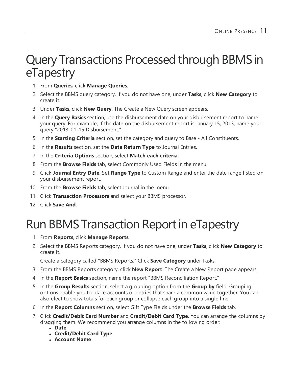## <span id="page-10-0"></span>Query Transactions Processed through BBMS in eTapestry

- 1. From **Queries**, click **Manage Queries**.
- 2. Select the BBMS query category. If you do not have one, under **Tasks**, click **New Category** to create it.
- 3. Under **Tasks**, click **New Query**. The Create a New Query screen appears.
- 4. In the **Query Basics** section, use the disbursement date on your disbursement report to name your query. For example, if the date on the disbursement report is January 15, 2013, name your query "2013-01-15 Disbursement."
- 5. In the **Starting Criteria** section, set the category and query to Base All Constituents.
- 6. In the **Results** section, set the **Data Return Type** to Journal Entries.
- 7. In the **Criteria Options** section, select **Match each criteria**.
- 8. From the **Browse Fields** tab, select Commonly Used Fields in the menu.
- 9. Click **Journal Entry Date**. Set **Range Type** to Custom Range and enter the date range listed on your disbursement report.
- 10. From the **Browse Fields** tab, select Journal in the menu.
- 11. Click **Transaction Processors** and select your BBMS processor.
- <span id="page-10-1"></span>12. Click **Save And**.

## Run BBMS Transaction Report in eTapestry

- 1. From **Reports**, click **Manage Reports**.
- 2. Select the BBMS Reports category. If you do not have one, under **Tasks**, click **New Category** to create it.

Create a category called "BBMS Reports." Click **Save Category** under Tasks.

- 3. From the BBMS Reports category, click **New Report**. The Create a New Report page appears.
- 4. In the **Report Basics** section, name the report "BBMS Reconciliation Report."
- 5. In the **Group Results** section, select a grouping option from the **Group by** field. Grouping options enable you to place accounts or entries that share a common value together. You can also elect to show totals for each group or collapse each group into a single line.
- 6. In the **Report Columns** section, select Gift Type Fields under the **Browse Fields** tab.
- 7. Click **Credit/Debit Card Number** and **Credit/Debit Card Type**. You can arrange the columns by dragging them. We recommend you arrange columns in the following order:
	- <sup>l</sup> **Date**
	- <sup>l</sup> **Credit/Debit Card Type**
	- <sup>l</sup> **Account Name**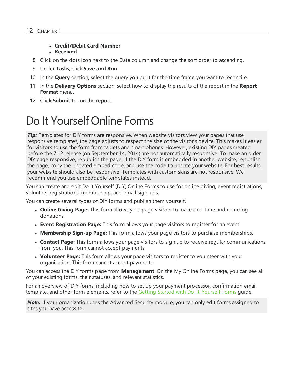### <sup>l</sup> **Credit/Debit Card Number**

#### **• Received**

- 8. Click on the dots icon next to the Date column and change the sort order to ascending.
- 9. Under **Tasks**, click **Save and Run**.
- 10. In the **Query** section, select the query you built for the time frame you want to reconcile.
- 11. In the **Delivery Options** section, select how to display the results of the report in the **Report Format** menu.
- <span id="page-11-0"></span>12. Click **Submit** to run the report.

## Do It Yourself Online Forms

**Tip:** Templates for DIY forms are responsive. When website visitors view your pages that use responsive templates, the page adjusts to respect the size of the visitor's device. This makes it easier for visitors to use the form from tablets and smart phones. However, existing DIY pages created before the 7.12 release (on September 14, 2014) are not automatically responsive. To make an older DIY page responsive, republish the page. If the DIY form is embedded in another website, republish the page, copy the updated embed code, and use the code to update your website. For best results, your website should also be responsive. Templates with custom skins are not responsive. We recommend you use embeddable templates instead.

You can create and edit Do It Yourself (DIY) Online Forms to use for online giving, event registrations, volunteer registrations, membership, and email sign-ups.

You can create several types of DIY forms and publish them yourself.

- **Online Giving Page:** This form allows your page visitors to make one-time and recurring donations.
- **Event Registration Page:** This form allows your page visitors to register for an event.
- **Membership Sign-up Page:** This form allows your page visitors to purchase memberships.
- **Contact Page:** This form allows your page visitors to sign up to receive regular communications from you. This form cannot accept payments.
- **Volunteer Page:** This form allows your page visitors to register to volunteer with your organization. This form cannot accept payments.

You can access the DIY forms page from **Management**. On the My Online Forms page, you can see all of your existing forms, their statuses, and relevant statistics.

For an overview of DIY forms, including how to set up your payment processor, confirmation email template, and other form elements, refer to the Getting Started with [Do-It-Yourself](https://www.blackbaud.com/files/support/guides/etap/gettingstarteddiy.pdf) Forms guide.

*Note:* If your organization uses the Advanced Security module, you can only edit forms assigned to sites you have access to.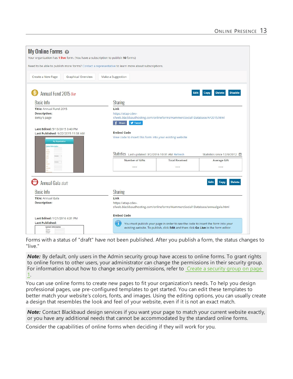| My Online Forms @                                                                                             |                                | Your organization has 1 live form. (You have a subscription to publish 10 forms)                                                                                   |                                                                                                 |                                         |  |
|---------------------------------------------------------------------------------------------------------------|--------------------------------|--------------------------------------------------------------------------------------------------------------------------------------------------------------------|-------------------------------------------------------------------------------------------------|-----------------------------------------|--|
|                                                                                                               |                                | Need to be able to publish more forms? Contact a representative to learn more about subscriptions.                                                                 |                                                                                                 |                                         |  |
| Create a New Page                                                                                             | Graphical Overview             | Make a Suggestion                                                                                                                                                  |                                                                                                 |                                         |  |
| Annual Fund 2015 live                                                                                         |                                |                                                                                                                                                                    | Edit                                                                                            | <b>Delete</b><br><b>Disable</b><br>Copy |  |
| <b>Basic Info</b>                                                                                             |                                | <b>Sharing</b>                                                                                                                                                     |                                                                                                 |                                         |  |
| <b>Description:</b><br>Betsy's page                                                                           | Title: Annual Fund 2015        |                                                                                                                                                                    | sfweb.blackbaudhosting.com/onlineforms/HammersSocial1Database/AF2015.html                       |                                         |  |
| Last Edited: 5/13/2015 3:40 PM<br>Last Published: 9/22/2015 11:38 AM<br><b>My Organization</b><br>Information |                                | $f$ Share<br><b>y</b> Tweet<br><b>Embed Code</b><br>View code to insert this form into your existing website<br>Statistics Last updated: 3/2/2016 10:31 AM Refresh |                                                                                                 | Statistics since 12/9/2012 曲            |  |
|                                                                                                               |                                |                                                                                                                                                                    | <b>Total Received</b>                                                                           | <b>Average Gift</b>                     |  |
|                                                                                                               |                                |                                                                                                                                                                    | ---                                                                                             | ---                                     |  |
| Annual Gala draft                                                                                             |                                |                                                                                                                                                                    |                                                                                                 | <b>Delete</b><br>Edit<br>Copy           |  |
| <b>Basic Info</b>                                                                                             |                                |                                                                                                                                                                    |                                                                                                 |                                         |  |
| Title: Annual Gala                                                                                            |                                |                                                                                                                                                                    | Link                                                                                            |                                         |  |
| <b>Description:</b>                                                                                           |                                | https://etap-cdev-                                                                                                                                                 | sfweb.blackbaudhosting.com/onlineforms/HammersSocial1Database/annualgala.html                   |                                         |  |
|                                                                                                               | Last Edited: 1/21/2016 4:31 PM |                                                                                                                                                                    |                                                                                                 |                                         |  |
| <b>Last Published:</b>                                                                                        |                                |                                                                                                                                                                    | $\mathbf i$<br>You must publish your page in order to see the code to insert the form into your |                                         |  |
| <b>Contact Information</b><br><b>Task Board</b><br><b>ROBERTON</b>                                            |                                |                                                                                                                                                                    | existing website. To publish, click Edit and then click Go Live in the form editor.             |                                         |  |

Forms with a status of "draft" have not been published. After you publish a form, the status changes to "live."

**Note:** By default, only users in the Admin security group have access to online forms. To grant rights to online forms to other users, your administrator can change the permissions in their security group. For information about how to change security permissions, refer to Create a security group on page 1.

You can use online forms to create new pages to fit your organization's needs. To help you design professional pages, use pre-configured templates to get started. You can edit these templates to better match your website's colors, fonts, and images. Using the editing options, you can usually create a design that resembles the look and feel of your website, even if it is not an exact match.

*Note:* Contact Blackbaud design services if you want your page to match your current website exactly, or you have any additional needs that cannot be accommodated by the standard online forms.

Consider the capabilities of online forms when deciding if they will work for you.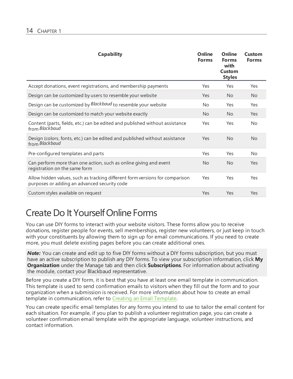| <b>Capability</b>                                                                                                            | <b>Online</b><br><b>Forms</b> | <b>Online</b><br><b>Forms</b><br>with<br>Custom<br><b>Styles</b> | Custom<br><b>Forms</b> |
|------------------------------------------------------------------------------------------------------------------------------|-------------------------------|------------------------------------------------------------------|------------------------|
| Accept donations, event registrations, and membership payments                                                               | Yes                           | Yes                                                              | Yes                    |
| Design can be customized by users to resemble your website                                                                   | Yes                           | <b>No</b>                                                        | No.                    |
| Design can be customized by Blackbaud to resemble your website                                                               | No                            | Yes                                                              | Yes                    |
| Design can be customized to match your website exactly                                                                       | <b>No</b>                     | <b>No</b>                                                        | Yes                    |
| Content (parts, fields, etc.) can be edited and published without assistance<br>from Blackbaud                               | Yes                           | Yes                                                              | <b>No</b>              |
| Design (colors, fonts, etc.) can be edited and published without assistance<br>from Blackbaud                                | Yes                           | <b>No</b>                                                        | <b>No</b>              |
| Pre-configured templates and parts                                                                                           | Yes                           | Yes                                                              | <b>No</b>              |
| Can perform more than one action, such as online giving and event<br>registration on the same form                           | <b>No</b>                     | <b>No</b>                                                        | Yes                    |
| Allow hidden values, such as tracking different form versions for comparison<br>purposes or adding an advanced security code | Yes                           | Yes                                                              | Yes                    |
| Custom styles available on request                                                                                           | Yes                           | Yes                                                              | Yes                    |

## <span id="page-13-0"></span>Create Do It YourselfOnline Forms

You can use DIY forms to interact with your website visitors. These forms allow you to receive donations, register people for events, sell memberships, register new volunteers, or just keep in touch with your constituents by allowing them to sign up for email communications. If you need to create more, you must delete existing pages before you can create additional ones.

*Note:* You can create and edit up to five DIY forms without a DIY forms subscription, but you must have an active subscription to publish any DIY forms. To view your subscription information, click **My Organization** under the Manage tab and then click **Subscriptions**. For information about activating the module, contact your Blackbaud representative.

Before you create a DIY form, it is best that you have at least one email template in communication. This template is used to send confirmation emails to visitors when they fill out the form and to your organization when a submission is received. For more information about how to create an email template in communication, refer to Creating an Email Template.

You can create specific email templates for any forms you intend to use to tailor the email content for each situation. For example, if you plan to publish a volunteer registration page, you can create a volunteer confirmation email template with the appropriate language, volunteer instructions, and contact information.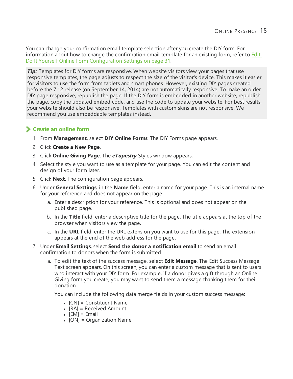You can change your confirmation email template selection after you create the DIY form. For information about how to change the confirmation email template for an existing form, refer to [Edit](#page-30-2) Do It Yourself Online Form [Configuration](#page-30-2) Settings on page 31.

*Tip:* Templates for DIY forms are responsive. When website visitors view your pages that use responsive templates, the page adjusts to respect the size of the visitor's device. This makes it easier for visitors to use the form from tablets and smart phones. However, existing DIY pages created before the 7.12 release (on September 14, 2014) are not automatically responsive. To make an older DIY page responsive, republish the page. If the DIY form is embedded in another website, republish the page, copy the updated embed code, and use the code to update your website. For best results, your website should also be responsive. Templates with custom skins are not responsive. We recommend you use embeddable templates instead.

### **Create an online form**

- 1. From **Management**, select **DIY Online Forms**. The DIY Forms page appears.
- 2. Click **Create a New Page**.
- 3. Click **Online Giving Page**. The *eTapestry* Styles window appears.
- 4. Select the style you want to use as a template for your page. You can edit the content and design of your form later.
- 5. Click **Next**. The configuration page appears.
- 6. Under **General Settings**, in the **Name** field, enter a name for your page. This is an internal name for your reference and does not appear on the page.
	- a. Enter a description for your reference. This is optional and does not appear on the published page.
	- b. In the **Title** field, enter a descriptive title for the page. The title appears at the top of the browser when visitors view the page.
	- c. In the **URL** field, enter the URL extension you want to use for this page. The extension appears at the end of the web address for the page.
- 7. Under **Email Settings**, select **Send the donor a notification email** to send an email confirmation to donors when the form is submitted.
	- a. To edit the text of the success message, select **Edit Message**. The Edit Success Message Text screen appears. On this screen, you can enter a custom message that is sent to users who interact with your DIY form. For example, if a donor gives a gift through an Online Giving form you create, you may want to send them a message thanking them for their donation.

You can include the following data merge fields in your custom success message:

- $\bullet$  [CN] = Constituent Name
- $\bullet$  [RA] = Received Amount
- $\bullet$  [EM] = Email
- $\bullet$  [ON] = Organization Name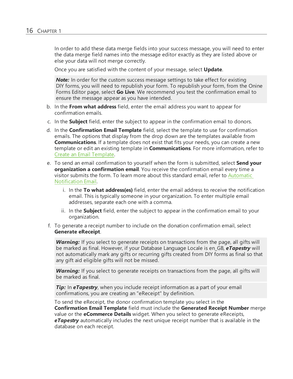In order to add these data merge fields into your success message, you will need to enter the data merge field names into the message editor exactly as they are listed above or else your data will not merge correctly.

Once you are satisfied with the content of your message, select **Update**.

**Note:** In order for the custom success message settings to take effect for existing DIY forms, you will need to republish your form. To republish your form, from the Onine Forms Editor page, select **Go Live**. We recommend you test the confirmation email to ensure the message appear as you have intended.

- b. In the **From what address** field, enter the email address you want to appear for confirmation emails.
- c. In the **Subject** field, enter the subject to appear in the confirmation email to donors.
- d. In the **Confirmation Email Template** field, select the template to use for confirmation emails. The options that display from the drop down are the templates available from **Communications**. If a template does not exist that fits your needs, you can create a new template or edit an existing template in **Communications**. For more information, refer to Create an Email [Template](https://www.blackbaud.com/files/support/helpfiles/etapestry/etapestry/content/etapcreatingemailtemplate.html).
- e. To send an email confirmation to yourself when the form is submitted, select **Send your organization a confirmation email**. You receive the confirmation email every time a visitor submits the form. To learn more about this standard email, refer to [Automatic](https://www.blackbaud.com/files/support/helpfiles/etapestry/etapestry/content/etaporganizationnotificationonlineforms.html) [Notification](https://www.blackbaud.com/files/support/helpfiles/etapestry/etapestry/content/etaporganizationnotificationonlineforms.html) Email.
	- i. In the **To what address(es)** field, enter the email address to receive the notification email. This is typically someone in your organization. To enter multiple email addresses, separate each one with a comma.
	- ii. In the **Subject** field, enter the subject to appear in the confirmation email to your organization.
- f. To generate a receipt number to include on the donation confirmation email, select **Generate eReceipt**.

*Warning:* If you select to generate receipts on transactions from the page, all gifts will be marked as final. However, if your Database Language Locale is en\_GB, *eTapestry* will not automatically mark any gifts or recurring gifts created from DIY forms as final so that any gift aid eligible gifts will not be missed.

**Warning:** If you select to generate receipts on transactions from the page, all gifts will be marked as final.

*Tip:* In **eTapestry**, when you include receipt information as a part of your email confirmations, you are creating an "eReceipt" by definition.

To send the eReceipt, the donor confirmation template you select in the **Confirmation Email Template** field must include the **Generated Receipt Number** merge value or the **eCommerce Details** widget. When you select to generate eReceipts, *eTapestry* automatically includes the next unique receipt number that is available in the database on each receipt.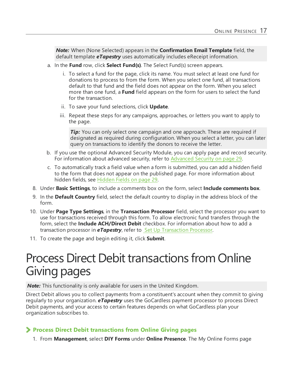*Note:* When (None Selected) appears in the **Confirmation Email Template** field, the default template *eTapestry* uses automatically includes eReceipt information.

- a. In the **Fund** row, click **Select Fund(s)**. The Select Fund(s) screen appears.
	- i. To select a fund for the page, click its name. You must select at least one fund for donations to process to from the form. When you select one fund, all transactions default to that fund and the field does not appear on the form. When you select more than one fund, a **Fund** field appears on the form for users to select the fund for the transaction.
	- ii. To save your fund selections, click **Update**.
	- iii. Repeat these steps for any campaigns, approaches, or letters you want to apply to the page.

*Tip:* You can only select one campaign and one approach. These are required if designated as required during configuration. When you select a letter, you can later query on transactions to identify the donors to receive the letter.

- b. If you use the optional Advanced Security Module, you can apply page and record security. For information about advanced security, refer to [Advanced](#page-28-0) Security on page 29.
- c. To automatically track a field value when a form is submitted, you can add a hidden field to the form that does not appear on the published page. For more information about hidden fields, see [Hidden](#page-28-1) Fields on page 29.
- 8. Under **Basic Settings**, to include a comments box on the form, select **Include comments box**.
- 9. In the **Default Country** field, select the default country to display in the address block of the form.
- 10. Under **Page Type Settings**, in the **Transaction Processor** field, select the processor you want to use for transactions received through this form. To allow electronic fund transfers through the form, select the **Include ACH/Direct Debit** checkbox. For information about how to add a transaction processor in *eTapestry*, refer to Set Up [Transaction](https://www.blackbaud.com/files/support/helpfiles/etapestry/etapestry/content/etaptransactionprocessor.html) Processor.
- <span id="page-16-0"></span>11. To create the page and begin editing it, click **Submit**.

## Process Direct Debit transactions from Online Giving pages

*Note:* This functionality is only available for users in the United Kingdom.

Direct Debit allows you to collect payments from a constituent's account when they commit to giving regularly to your organization. *eTapestry* uses the GoCardless payment processor to process Direct Debit payments, and your access to certain features depends on what GoCardless plan your organization subscribes to.

### **Process Direct Debit transactions from Online Giving pages**

1. From **Management**, select **DIY Forms** under **Online Presence**. The My Online Forms page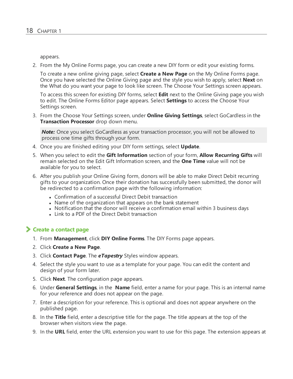appears.

2. From the My Online Forms page, you can create a new DIY form or edit your existing forms.

To create a new online giving page, select **Create a New Page** on the My Online Forms page. Once you have selected the Online Giving page and the style you wish to apply, select **Next** on the What do you want your page to look like screen. The Choose Your Settings screen appears.

To access this screen for existing DIY forms, select **Edit** next to the Online Giving page you wish to edit. The Online Forms Editor page appears. Select **Settings** to access the Choose Your Settings screen.

3. From the Choose Your Settings screen, under **Online Giving Settings**, select GoCardless in the **Transaction Processor** drop down menu.

**Note:** Once you select GoCardless as your transaction processor, you will not be allowed to process one time gifts through your form.

- 4. Once you are finished editing your DIY form settings, select **Update**.
- 5. When you select to edit the **Gift Information** section of your form, **Allow Recurring Gifts** will remain selected on the Edit Gift Information screen, and the **One Time** value will not be available for you to select.
- 6. After you publish your Online Giving form, donors will be able to make Direct Debit recurring gifts to your organization. Once their donation has successfully been submitted, the donor will be redirected to a confirmation page with the following information:
	- Confirmation of a successful Direct Debit transaction
	- Name of the organization that appears on the bank statement
	- Notification that the donor will receive a confirmation email within 3 business days
	- $\bullet$  Link to a PDF of the Direct Debit transaction

#### **Create a contact page**

- 1. From **Management**, click **DIY Online Forms**. The DIY Forms page appears.
- 2. Click **Create a New Page**.
- 3. Click **Contact Page**. The *eTapestry* Styles window appears.
- 4. Select the style you want to use as a template for your page. You can edit the content and design of your form later.
- 5. Click **Next**. The configuration page appears.
- 6. Under **General Settings**, in the **Name** field, enter a name for your page. This is an internal name for your reference and does not appear on the page.
- 7. Enter a description for your reference. This is optional and does not appear anywhere on the published page.
- 8. In the **Title** field, enter a descriptive title for the page. The title appears at the top of the browser when visitors view the page.
- 9. In the **URL** field, enter the URL extension you want to use for this page. The extension appears at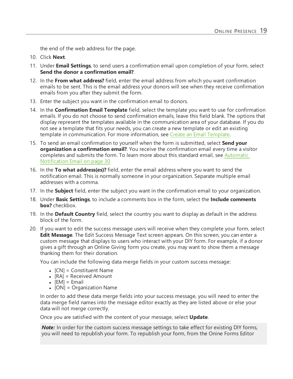the end of the web address for the page.

- 10. Click **Next**.
- 11. Under **Email Settings**, to send users a confirmation email upon completion of your form, select **Send the donor a confirmation email?**.
- 12. In the **From what address?** field, enter the email address from which you want confirmation emails to be sent. This is the email address your donors will see when they receive confirmation emails from you after they submit the form.
- 13. Enter the subject you want in the confirmation email to donors.
- 14. In the **Confirmation Email Template** field, select the template you want to use for confirmation emails. If you do not choose to send confirmation emails, leave this field blank. The options that display represent the templates available in the communication area of your database. If you do not see a template that fits your needs, you can create a new template or edit an existing template in communication. For more information, see Create an Email [Template](https://www.blackbaud.com/files/support/helpfiles/etapestry/etapestry/content/etapcreatingemailtemplate.html).
- 15. To send an email confirmation to yourself when the form is submitted, select **Send your organization a confirmation email?**. You receive the confirmation email every time a visitor completes and submits the form. To learn more about this standard email, see [Automatic](#page-29-0) [Notification](#page-29-0) Email on page 30
- 16. In the **To what address(es)?** field, enter the email address where you want to send the notification email. This is normally someone in your organization. Separate multiple email addresses with a comma.
- 17. In the **Subject** field, enter the subject you want in the confirmation email to your organization.
- 18. Under **Basic Settings**, to include a comments box in the form, select the **Include comments box?** checkbox.
- 19. In the **Default Country** field, select the country you want to display as default in the address block of the form.
- 20. If you want to edit the success message users will receive when they complete your form, select **Edit Message**. The Edit Success Message Text screen appears. On this screen, you can enter a custom message that displays to users who interact with your DIY form. For example, if a donor gives a gift through an Online Giving form you create, you may want to show them a message thanking them for their donation.

You can include the following data merge fields in your custom success message:

- $\bullet$  [CN] = Constituent Name
- $\bullet$  [RA] = Received Amount
- $\bullet$  [EM] = Email
- $[ON] = Organization Name$

In order to add these data merge fields into your success message, you will need to enter the data merge field names into the message editor exactly as they are listed above or else your data will not merge correctly.

Once you are satisfied with the content of your message, select **Update**.

**Note:** In order for the custom success message settings to take effect for existing DIY forms, you will need to republish your form. To republish your form, from the Onine Forms Editor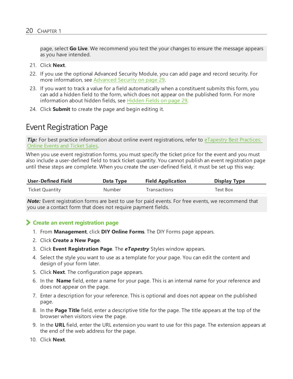page, select **Go Live**. We recommend you test the your changes to ensure the message appears as you have intended.

- 21. Click **Next**.
- 22. If you use the optional Advanced Security Module, you can add page and record security. For more information, see [Advanced](#page-28-0) Security on page 29.
- 23. If you want to track a value for a field automatically when a constituent submits this form, you can add a hidden field to the form, which does not appear on the published form. For more information about hidden fields, see [Hidden](#page-28-1) Fields on page 29.
- <span id="page-19-0"></span>24. Click **Submit** to create the page and begin editing it.

### Event Registration Page

*Tip:* For best practice information about online event registrations, refer to [eTapestry](https://www.blackbaud.com/support/guides/etap/bestpract/eventtracking2.html) Best Practices: [Online](https://www.blackbaud.com/support/guides/etap/bestpract/eventtracking2.html) Events and Ticket Sales.

When you use event registration forms, you must specify the ticket price for the event and you must also include a user-defined field to track ticket quantity. You cannot publish an event registration page until these steps are complete. When you create the user-defined field, it must be set up this way:

| <b>User-Defined Field</b> | Data Type | <b>Field Application</b> | <b>Display Type</b> |
|---------------------------|-----------|--------------------------|---------------------|
| Ticket Quantity           | Number    | Transactions             | Text Box            |

*Note:* Event registration forms are best to use for paid events. For free events, we recommend that you use a contact form that does not require payment fields.

#### <span id="page-19-1"></span>**Create an event registration page**

- 1. From **Management**, click **DIY Online Forms**. The DIY Forms page appears.
- 2. Click **Create a New Page**.
- 3. Click **Event Registration Page**. The *eTapestry* Styles window appears.
- 4. Select the style you want to use as a template for your page. You can edit the content and design of your form later.
- 5. Click **Next**. The configuration page appears.
- 6. In the **Name** field, enter a name for your page. This is an internal name for your reference and does not appear on the page.
- 7. Enter a description for your reference. This is optional and does not appear on the published page.
- 8. In the **Page Title** field, enter a descriptive title for the page. The title appears at the top of the browser when visitors view the page.
- 9. In the **URL** field, enter the URL extension you want to use for this page. The extension appears at the end of the web address for the page.
- 10. Click **Next**.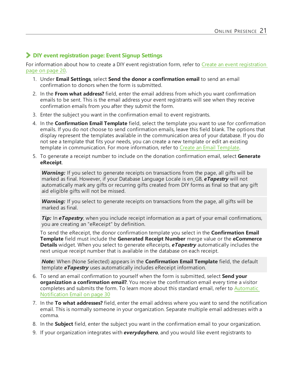### **DIY event registration page: Event Signup Settings**

For information about how to create a DIY event [registration](#page-19-1) form, refer to Create an event registration [page](#page-19-1) on page 20.

- 1. Under **Email Settings**, select **Send the donor a confirmation email** to send an email confirmation to donors when the form is submitted.
- 2. In the **From what address?** field, enter the email address from which you want confirmation emails to be sent. This is the email address your event registrants will see when they receive confirmation emails from you after they submit the form.
- 3. Enter the subject you want in the confirmation email to event registrants.
- 4. In the **Confirmation Email Template** field, select the template you want to use for confirmation emails. If you do not choose to send confirmation emails, leave this field blank. The options that display represent the templates available in the communication area of your database. If you do not see a template that fits your needs, you can create a new template or edit an existing template in communication. For more information, refer to Create an Email [Template](https://www.blackbaud.com/files/support/helpfiles/etapestry/etapestry/content/etapcreatingemailtemplate.html).
- 5. To generate a receipt number to include on the donation confirmation email, select **Generate eReceipt**.

*Warning:* If you select to generate receipts on transactions from the page, all gifts will be marked as final. However, if your Database Language Locale is en\_GB, *eTapestry* will not automatically mark any gifts or recurring gifts created from DIY forms as final so that any gift aid eligible gifts will not be missed.

*Warning:* If you select to generate receipts on transactions from the page, all gifts will be marked as final.

*Tip:* In *eTapestry*, when you include receipt information as a part of your email confirmations, you are creating an "eReceipt" by definition.

To send the eReceipt, the donor confirmation template you select in the **Confirmation Email Template** field must include the **Generated Receipt Number** merge value or the **eCommerce Details** widget. When you select to generate eReceipts, *eTapestry* automatically includes the next unique receipt number that is available in the database on each receipt.

*Note:* When (None Selected) appears in the **Confirmation Email Template** field, the default template *eTapestry* uses automatically includes eReceipt information.

- 6. To send an email confirmation to yourself when the form is submitted, select **Send your organization a confirmation email?**. You receive the confirmation email every time a visitor completes and submits the form. To learn more about this standard email, refer to [Automatic](#page-29-0) [Notification](#page-29-0) Email on page 30
- 7. In the **To what addresses?** field, enter the email address where you want to send the notification email. This is normally someone in your organization. Separate multiple email addresses with a comma.
- 8. In the **Subject** field, enter the subject you want in the confirmation email to your organization.
- 9. If your organization integrates with *everydayhero*, and you would like event registrants to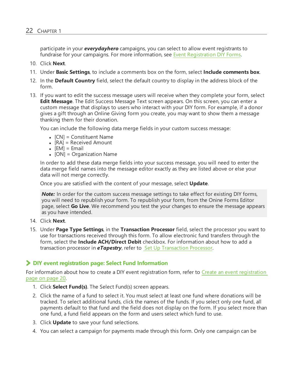participate in your *everydayhero* campaigns, you can select to allow event registrants to fundraise for your campaigns. For more information, see Event [Registration](https://www.blackbaud.com/files/support/helpfiles/etapestry/etapestry/default.html#etapedheventregistration.html) DIY Forms.

- 10. Click **Next**.
- 11. Under **Basic Settings**, to include a comments box on the form, select **Include comments box**.
- 12. In the **Default Country** field, select the default country to display in the address block of the form.
- 13. If you want to edit the success message users will receive when they complete your form, select **Edit Message**. The Edit Success Message Text screen appears. On this screen, you can enter a custom message that displays to users who interact with your DIY form. For example, if a donor gives a gift through an Online Giving form you create, you may want to show them a message thanking them for their donation.

You can include the following data merge fields in your custom success message:

- $[CN] =$  Constituent Name
- $\bullet$  [RA] = Received Amount
- $\bullet$  [EM] = Email
- [ON] = Organization Name

In order to add these data merge fields into your success message, you will need to enter the data merge field names into the message editor exactly as they are listed above or else your data will not merge correctly.

Once you are satisfied with the content of your message, select **Update**.

**Note:** In order for the custom success message settings to take effect for existing DIY forms, you will need to republish your form. To republish your form, from the Onine Forms Editor page, select **Go Live**. We recommend you test the your changes to ensure the message appears as you have intended.

- 14. Click **Next**.
- 15. Under **Page Type Settings**, in the **Transaction Processor** field, select the processor you want to use for transactions received through this form. To allow electronic fund transfers through the form, select the **Include ACH/Direct Debit** checkbox. For information about how to add a transaction processor in *eTapestry*, refer to Set Up [Transaction](https://www.blackbaud.com/files/support/helpfiles/etapestry/etapestry/content/etaptransactionprocessor.html) Processor.

#### **DIY event registration page: Select Fund Information**

For information about how to create a DIY event registration form, refer to Create an event [registration](#page-19-1) [page](#page-19-1) on page 20.

- 1. Click **Select Fund(s)**. The Select Fund(s) screen appears.
- 2. Click the name of a fund to select it. You must select at least one fund where donations will be tracked. To select additional funds, click the names of the funds. If you select only one fund, all payments default to that fund and the field does not display on the form. If you select more than one fund, a fund field appears on the form and users select which fund to use.
- 3. Click **Update** to save your fund selections.
- 4. You can select a campaign for payments made through this form. Only one campaign can be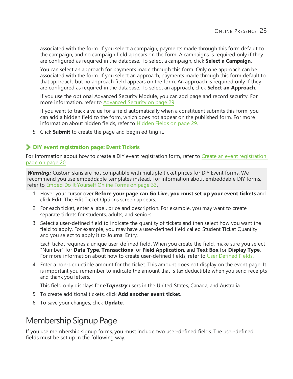associated with the form. If you select a campaign, payments made through this form default to the campaign, and no campaign field appears on the form. A campaigns is required only if they are configured as required in the database. To select a campaign, click **Select a Campaign**.

You can select an approach for payments made through this form. Only one approach can be associated with the form. If you select an approach, payments made through this form default to that approach, but no approach field appears on the form. An approach is required only if they are configured as required in the database. To select an approach, click **Select an Approach**.

If you use the optional Advanced Security Module, you can add page and record security. For more information, refer to [Advanced](#page-28-0) Security on page 29.

If you want to track a value for a field automatically when a constituent submits this form, you can add a hidden field to the form, which does not appear on the published form. For more information about hidden fields, refer to [Hidden](#page-28-1) Fields on page 29.

5. Click **Submit** to create the page and begin editing it.

#### **DIY event registration page: Event Tickets**

For information about how to create a DIY event [registration](#page-19-1) form, refer to Create an event registration [page](#page-19-1) on page 20.

*Warning:* Custom skins are not compatible with multiple ticket prices for DIY Event forms. We recommend you use embeddable templates instead. For information about embeddable DIY forms, refer to Embed Do It [Yourself](#page-32-0) Online Forms on page 33.

- 1. Hover your cursor over **Before your page can Go Live, you must set up your event tickets** and click **Edit**. The Edit Ticket Options screen appears.
- 2. For each ticket, enter a label, price and description. For example, you may want to create separate tickets for students, adults, and seniors.
- 3. Select a user-defined field to indicate the quantity of tickets and then select how you want the field to apply. For example, you may have a user-defined field called Student Ticket Quantity and you select to apply it to Journal Entry.

Each ticket requires a unique user-defined field. When you create the field, make sure you select "Number" for **Data Type**, **Transactions** for **Field Application**, and **Text Box** for **Display Type**. For more information about how to create user-defined fields, refer to User [Defined](https://www.blackbaud.com/files/support/helpfiles/etapestry/etapestry/content/etapuserdefinedfields.html) Fields.

4. Enter a non-deductible amount for the ticket. This amount does not display on the event page. It is important you remember to indicate the amount that is tax deductible when you send receipts and thank you letters.

This field only displays for *eTapestry* users in the United States, Canada, and Australia.

- 5. To create additional tickets, click **Add another event ticket**.
- 6. To save your changes, click **Update**.

### <span id="page-22-0"></span>Membership Signup Page

If you use membership signup forms, you must include two user-defined fields. The user-defined fields must be set up in the following way.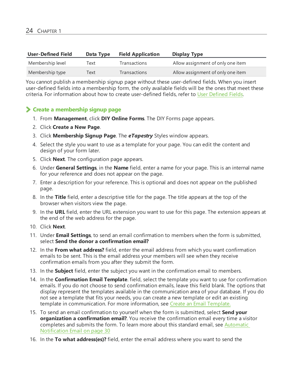| <b>User-Defined Field</b> | Data Type | <b>Field Application</b> | <b>Display Type</b>               |
|---------------------------|-----------|--------------------------|-----------------------------------|
| Membership level          | Text      | <b>Transactions</b>      | Allow assignment of only one item |
| Membership type           | Text      | <b>Transactions</b>      | Allow assignment of only one item |

You cannot publish a membership signup page without these user-defined fields. When you insert user-defined fields into a membership form, the only available fields will be the ones that meet these criteria. For information about how to create user-defined fields, refer to User Defined Fields.

### **Create a membership signup page**

- 1. From **Management**, click **DIY Online Forms**. The DIY Forms page appears.
- 2. Click **Create a New Page**.
- 3. Click **Membership Signup Page**. The *eTapestry* Styles window appears.
- 4. Select the style you want to use as a template for your page. You can edit the content and design of your form later.
- 5. Click **Next**. The configuration page appears.
- 6. Under **General Settings**, in the **Name** field, enter a name for your page. This is an internal name for your reference and does not appear on the page.
- 7. Enter a description for your reference. This is optional and does not appear on the published page.
- 8. In the **Title** field, enter a descriptive title for the page. The title appears at the top of the browser when visitors view the page.
- 9. In the **URL** field, enter the URL extension you want to use for this page. The extension appears at the end of the web address for the page.
- 10. Click **Next**.
- 11. Under **Email Settings**, to send an email confirmation to members when the form is submitted, select **Send the donor a confirmation email?**
- 12. In the **From what address?** field, enter the email address from which you want confirmation emails to be sent. This is the email address your members will see when they receive confirmation emails from you after they submit the form.
- 13. In the **Subject** field, enter the subject you want in the confirmation email to members.
- 14. In the **Confirmation Email Template**. field, select the template you want to use for confirmation emails. If you do not choose to send confirmation emails, leave this field blank. The options that display represent the templates available in the communication area of your database. If you do not see a template that fits your needs, you can create a new template or edit an existing template in communication. For more information, see Create an Email [Template.](https://www.blackbaud.com/files/support/helpfiles/etapestry/etapestry/content/etapcreatingemailtemplate.html)
- 15. To send an email confirmation to yourself when the form is submitted, select **Send your organization a confirmation email?**. You receive the confirmation email every time a visitor completes and submits the form. To learn more about this standard email, see [Automatic](#page-29-0) [Notification](#page-29-0) Email on page 30
- 16. In the **To what address(es)?** field, enter the email address where you want to send the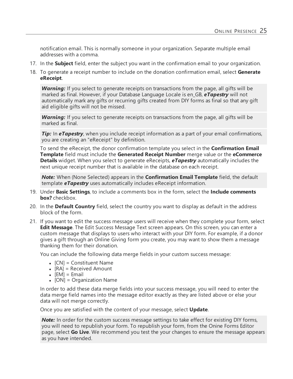notification email. This is normally someone in your organization. Separate multiple email addresses with a comma.

- 17. In the **Subject** field, enter the subject you want in the confirmation email to your organization.
- 18. To generate a receipt number to include on the donation confirmation email, select **Generate eReceipt**.

*Warning:* If you select to generate receipts on transactions from the page, all gifts will be marked as final. However, if your Database Language Locale is en\_GB, *eTapestry* will not automatically mark any gifts or recurring gifts created from DIY forms as final so that any gift aid eligible gifts will not be missed.

*Warning:* If you select to generate receipts on transactions from the page, all gifts will be marked as final.

*Tip*: In **eTapestry**, when you include receipt information as a part of your email confirmations, you are creating an "eReceipt" by definition.

To send the eReceipt, the donor confirmation template you select in the **Confirmation Email Template** field must include the **Generated Receipt Number** merge value or the **eCommerce Details** widget. When you select to generate eReceipts, *eTapestry* automatically includes the next unique receipt number that is available in the database on each receipt.

*Note:* When (None Selected) appears in the **Confirmation Email Template** field, the default template *eTapestry* uses automatically includes eReceipt information.

- 19. Under **Basic Settings**, to include a comments box in the form, select the **Include comments box?** checkbox.
- 20. In the **Default Country** field, select the country you want to display as default in the address block of the form.
- 21. If you want to edit the success message users will receive when they complete your form, select **Edit Message**. The Edit Success Message Text screen appears. On this screen, you can enter a custom message that displays to users who interact with your DIY form. For example, if a donor gives a gift through an Online Giving form you create, you may want to show them a message thanking them for their donation.

You can include the following data merge fields in your custom success message:

- $\bullet$  [CN] = Constituent Name
- $\bullet$  [RA] = Received Amount
- $\bullet$  [EM] = Email
- $[ON] = Organization Name$

In order to add these data merge fields into your success message, you will need to enter the data merge field names into the message editor exactly as they are listed above or else your data will not merge correctly.

Once you are satisfied with the content of your message, select **Update**.

**Note:** In order for the custom success message settings to take effect for existing DIY forms, you will need to republish your form. To republish your form, from the Onine Forms Editor page, select **Go Live**. We recommend you test the your changes to ensure the message appears as you have intended.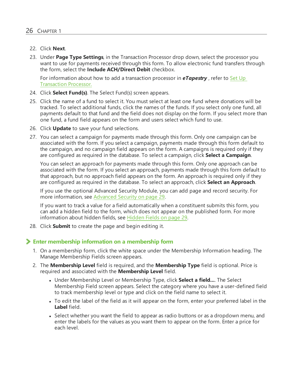- 22. Click **Next**.
- 23. Under **Page Type Settings**, in the Transaction Processor drop down, select the processor you want to use for payments received through this form. To allow electronic fund transfers through the form, select the **Include ACH/Direct Debit** checkbox.

For information about how to add a transaction processor in *eTapestry* , refer to [Set](https://www.blackbaud.com/files/support/helpfiles/etapestry/etapestry/content/etaptransactionprocessor.html) Up [Transaction](https://www.blackbaud.com/files/support/helpfiles/etapestry/etapestry/content/etaptransactionprocessor.html) Processor.

- 24. Click **Select Fund(s)**. The Select Fund(s) screen appears.
- 25. Click the name of a fund to select it. You must select at least one fund where donations will be tracked. To select additional funds, click the names of the funds. If you select only one fund, all payments default to that fund and the field does not display on the form. If you select more than one fund, a fund field appears on the form and users select which fund to use.
- 26. Click **Update** to save your fund selections.
- 27. You can select a campaign for payments made through this form. Only one campaign can be associated with the form. If you select a campaign, payments made through this form default to the campaign, and no campaign field appears on the form. A campaigns is required only if they are configured as required in the database. To select a campaign, click **Select a Campaign**.

You can select an approach for payments made through this form. Only one approach can be associated with the form. If you select an approach, payments made through this form default to that approach, but no approach field appears on the form. An approach is required only if they are configured as required in the database. To select an approach, click **Select an Approach**.

If you use the optional Advanced Security Module, you can add page and record security. For more information, see [Advanced](#page-28-0) Security on page 29.

If you want to track a value for a field automatically when a constituent submits this form, you can add a hidden field to the form, which does not appear on the published form. For more information about hidden fields, see [Hidden](#page-28-1) Fields on page 29.

28. Click **Submit** to create the page and begin editing it.

### **Enter membership information on a membership form**

- 1. On a membership form, click the white space under the Membership Information heading. The Manage Membership Fields screen appears.
- 2. The **Membership Level** field is required, and the **Membership Type** field is optional. Price is required and associated with the **Membership Level** field.
	- **.** Under Membership Level or Membership Type, click **Select a field...**. The Select Membership Field screen appears. Select the category where you have a user-defined field to track membership level or type and click on the field name to select it.
	- To edit the label of the field as it will appear on the form, enter your preferred label in the **Label** field.
	- Select whether you want the field to appear as radio buttons or as a dropdown menu, and enter the labels for the values as you want them to appear on the form. Enter a price for each level.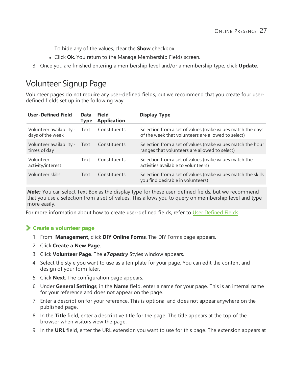To hide any of the values, clear the **Show** checkbox.

- **.** Click Ok. You return to the Manage Membership Fields screen.
- 3. Once you are finished entering a membership level and/or a membership type, click **Update**.

## <span id="page-26-0"></span>Volunteer Signup Page

Volunteer pages do not require any user-defined fields, but we recommend that you create four userdefined fields set up in the following way.

| <b>User-Defined Field</b>                    | Data<br><b>Type</b> | <b>Field</b><br><b>Application</b> | <b>Display Type</b>                                                                                              |
|----------------------------------------------|---------------------|------------------------------------|------------------------------------------------------------------------------------------------------------------|
| Volunteer availability -<br>days of the week | Text                | Constituents                       | Selection from a set of values (make values match the days<br>of the week that volunteers are allowed to select) |
| Volunteer availability -<br>times of day     | Text                | Constituents                       | Selection from a set of values (make values match the hour<br>ranges that volunteers are allowed to select)      |
| Volunteer<br>activity/interest               | Text                | Constituents                       | Selection from a set of values (make values match the<br>activities available to volunteers)                     |
| Volunteer skills                             | Text                | Constituents                       | Selection from a set of values (make values match the skills<br>you find desirable in volunteers)                |

**Note:** You can select Text Box as the display type for these user-defined fields, but we recommend that you use a selection from a set of values. This allows you to query on membership level and type more easily.

For more information about how to create user-defined fields, refer to User Defined Fields.

### **Create a volunteer page**

- 1. From **Management**, click **DIY Online Forms**. The DIY Forms page appears.
- 2. Click **Create a New Page**.
- 3. Click **Volunteer Page**. The *eTapestry* Styles window appears.
- 4. Select the style you want to use as a template for your page. You can edit the content and design of your form later.
- 5. Click **Next**. The configuration page appears.
- 6. Under **General Settings**, in the **Name** field, enter a name for your page. This is an internal name for your reference and does not appear on the page.
- 7. Enter a description for your reference. This is optional and does not appear anywhere on the published page.
- 8. In the **Title** field, enter a descriptive title for the page. The title appears at the top of the browser when visitors view the page.
- 9. In the **URL** field, enter the URL extension you want to use for this page. The extension appears at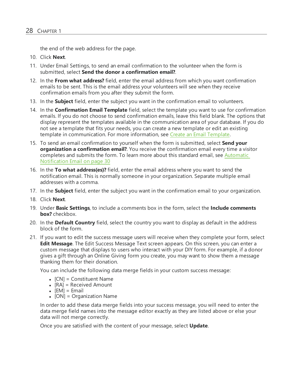the end of the web address for the page.

- 10. Click **Next**.
- 11. Under Email Settings, to send an email confirmation to the volunteer when the form is submitted, select **Send the donor a confirmation email?**.
- 12. In the **From what address?** field, enter the email address from which you want confirmation emails to be sent. This is the email address your volunteers will see when they receive confirmation emails from you after they submit the form.
- 13. In the **Subject** field, enter the subject you want in the confirmation email to volunteers.
- 14. In the **Confirmation Email Template** field, select the template you want to use for confirmation emails. If you do not choose to send confirmation emails, leave this field blank. The options that display represent the templates available in the communication area of your database. If you do not see a template that fits your needs, you can create a new template or edit an existing template in communication. For more information, see Create an Email [Template](https://www.blackbaud.com/files/support/helpfiles/etapestry/etapestry/content/etapcreatingemailtemplate.html).
- 15. To send an email confirmation to yourself when the form is submitted, select **Send your organization a confirmation email?**. You receive the confirmation email every time a visitor completes and submits the form. To learn more about this standard email, see [Automatic](#page-29-0) [Notification](#page-29-0) Email on page 30
- 16. In the **To what address(es)?** field, enter the email address where you want to send the notification email. This is normally someone in your organization. Separate multiple email addresses with a comma.
- 17. In the **Subject** field, enter the subject you want in the confirmation email to your organization.
- 18. Click **Next**.
- 19. Under **Basic Settings**, to include a comments box in the form, select the **Include comments box?** checkbox.
- 20. In the **Default Country** field, select the country you want to display as default in the address block of the form.
- 21. If you want to edit the success message users will receive when they complete your form, select **Edit Message**. The Edit Success Message Text screen appears. On this screen, you can enter a custom message that displays to users who interact with your DIY form. For example, if a donor gives a gift through an Online Giving form you create, you may want to show them a message thanking them for their donation.

You can include the following data merge fields in your custom success message:

- $[CN] =$  Constituent Name
- $[RA] = Received Amount$
- $\bullet$  [EM] = Email
- [ON] = Organization Name

In order to add these data merge fields into your success message, you will need to enter the data merge field names into the message editor exactly as they are listed above or else your data will not merge correctly.

Once you are satisfied with the content of your message, select **Update**.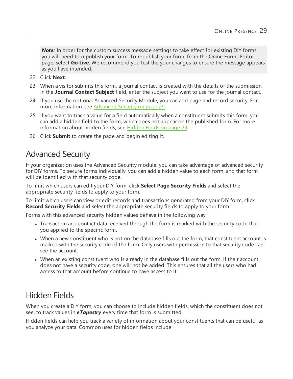*Note:* In order for the custom success message settings to take effect for existing DIY forms, you will need to republish your form. To republish your form, from the Onine Forms Editor page, select **Go Live**. We recommend you test the your changes to ensure the message appears as you have intended.

- 22. Click **Next**.
- 23. When a visitor submits this form, a journal contact is created with the details of the submission. In the **Journal Contact Subject** field, enter the subject you want to use for the journal contact.
- 24. If you use the optional Advanced Security Module, you can add page and record security. For more information, see [Advanced](#page-28-0) Security on page 29.
- 25. If you want to track a value for a field automatically when a constituent submits this form, you can add a hidden field to the form, which does not appear on the published form. For more information about hidden fields, see [Hidden](#page-28-1) Fields on page 29.
- 26. Click **Submit** to create the page and begin editing it.

### <span id="page-28-0"></span>Advanced Security

If your organization uses the Advanced Security module, you can take advantage of advanced security for DIY forms. To secure forms individually, you can add a hidden value to each form, and that form will be identified with that security code.

To limit which users can edit your DIY form, click **Select Page Security Fields** and select the appropriate security fields to apply to your form.

To limit which users can view or edit records and transactions generated from your DIY form, click **Record Security Fields** and select the appropriate security fields to apply to your form.

Forms with this advanced security hidden values behave in the following way:

- Transaction and contact data received through the form is marked with the security code that you applied to the specific form.
- When a new constituent who is not on the database fills out the form, that constituent account is marked with the security code of the form. Only users with permission to that security code can see the account.
- When an existing constituent who is already in the database fills out the form, if their account does not have a security code, one will not be added. This ensures that all the users who had access to that account before continue to have access to it.

## <span id="page-28-1"></span>Hidden Fields

When you create a DIY form, you can choose to include hidden fields, which the constituent does not see, to track values in *eTapestry* every time that form is submitted.

Hidden fields can help you track a variety of information about your constituents that can be useful as you analyze your data. Common uses for hidden fields include: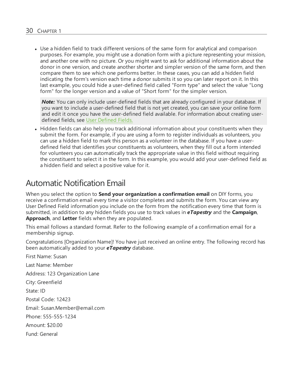• Use a hidden field to track different versions of the same form for analytical and comparison purposes. For example, you might use a donation form with a picture representing your mission, and another one with no picture. Or you might want to ask for additional information about the donor in one version, and create another shorter and simpler version of the same form, and then compare them to see which one performs better. In these cases, you can add a hidden field indicating the form's version each time a donor submits it so you can later report on it. In this last example, you could hide a user-defined field called "Form type" and select the value "Long form" for the longer version and a value of "Short form" for the simpler version.

**Note:** You can only include user-defined fields that are already configured in your database. If you want to include a user-defined field that is not yet created, you can save your online form and edit it once you have the user-defined field available. For information about creating userdefined fields, see User [Defined](https://www.blackbaud.com/files/support/helpfiles/etapestry/etapestry/content/etapuserdefinedfields.html) Fields.

• Hidden fields can also help you track additional information about your constituents when they submit the form. For example, if you are using a form to register individuals as volunteers, you can use a hidden field to mark this person as a volunteer in the database. If you have a userdefined field that identifies your constituents as volunteers, when they fill out a form intended for volunteers you can automatically track the appropriate value in this field without requiring the constituent to select it in the form. In this example, you would add your user-defined field as a hidden field and select a positive value for it.

### <span id="page-29-0"></span>Automatic Notification Email

When you select the option to **Send your organization a confirmation email** on DIY forms, you receive a confirmation email every time a visitor completes and submits the form. You can view any User Defined Field information you include on the form from the notification every time that form is submitted, in addition to any hidden fields you use to track values in *eTapestry* and the **Campaign**, **Approach**, and **Letter** fields when they are populated.

This email follows a standard format. Refer to the following example of a confirmation email for a membership signup.

Congratulations [Organization Name]! You have just received an online entry. The following record has been automatically added to your *eTapestry* database.

First Name: Susan Last Name: Member Address: 123 Organization Lane City: Greenfield State: ID Postal Code: 12423 Email: Susan.Member@email.com Phone: 555-555-1234 Amount: \$20.00 Fund: General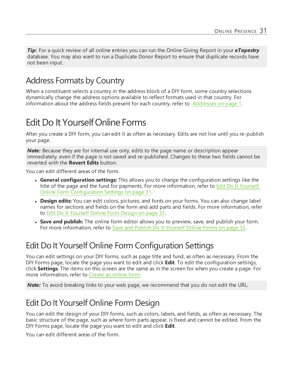*Tip:* For a quick review of all online entries you can run the Online Giving Report in your *eTapestry* database. You may also want to run a Duplicate Donor Report to ensure that duplicate records have not been input.

## <span id="page-30-0"></span>Address Formats by Country

When a constituent selects a country in the address block of a DIY form, some country selections dynamically change the address options available to reflect formats used in that country. For information about the address fields present for each country, refer to Addresses on page 1.

## <span id="page-30-1"></span>Edit Do It YourselfOnline Forms

After you create a DIY form, you can edit it as often as necessary. Edits are not live until you re-publish your page.

**Note:** Because they are for internal use only, edits to the page name or description appear immediately, even if the page is not saved and re-published. Changes to these two fields cannot be reverted with the **Revert Edits** button.

You can edit different areas of the form.

- <sup>l</sup> **General configuration settings:** This allows you to change the configuration settings like the title of the page and the fund for payments. For more information, refer to Edit Do It [Yourself](#page-30-2) Online Form [Configuration](#page-30-2) Settings on page 31.
- **Design edits:** You can edit colors, pictures, and fonts on your forms. You can also change label names for sections and fields on the form and add parts and fields. For more information, refer to Edit Do It [Yourself](#page-30-3) Online Form Design on page 31.
- <sup>l</sup> **Save and publish:** The online form editor allows you to preview, save, and publish your form. For more information, refer to Save and Publish Do It [Yourself](#page-31-0) Online Forms on page 32.

## <span id="page-30-2"></span>Edit Do It Yourself Online Form Configuration Settings

You can edit settings on your DIY forms, such as page title and fund, as often as necessary. From the DIY Forms page, locate the page you want to edit and click **Edit**. To edit the configuration settings, click **Settings**. The items on this screen are the same as in the screen for when you create a page. For more information, refer to [Create](https://www.blackbaud.com/files/support/helpfiles/etapestry/etapestry/content/tketapcreatewebform.html) an online form.

*Note:* To avoid breaking links to your web page, we recommend that you do not edit the URL.

## <span id="page-30-3"></span>Edit Do It Yourself Online Form Design

You can edit the design of your DIY forms, such as colors, labels, and fields, as often as necessary. The basic structure of the page, such as where form parts appear, is fixed and cannot be edited. From the DIY Forms page, locate the page you want to edit and click **Edit**.

You can edit different areas of the form.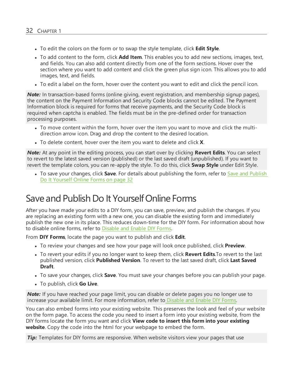- **•** To edit the colors on the form or to swap the style template, click **Edit Style**.
- <sup>l</sup> To add content to the form, click **Add Item**. This enables you to add new sections, images, text, and fields. You can also add content directly from one of the form sections. Hover over the section where you want to add content and click the green plus sign icon. This allows you to add images, text, and fields.
- To edit a label on the form, hover over the content you want to edit and click the pencil icon.

*Note:* In transaction-based forms (online giving, event registration, and membership signup pages), the content on the Payment Information and Security Code blocks cannot be edited. The Payment Information block is required for forms that receive payments, and the Security Code block is required when captcha is enabled. The fields must be in the pre-defined order for transaction processing purposes.

- To move content within the form, hover over the item you want to move and click the multidirection arrow icon. Drag and drop the content to the desired location.
- If To delete content, hover over the item you want to delete and click **X**.

*Note:* At any point in the editing process, you can start over by clicking **Revert Edits**. You can select to revert to the latest saved version (published) or the last saved draft (unpublished). If you want to revert the template colors, you can re-apply the style. To do this, click **Swap Style** under Edit Style.

• To save your changes, click **Save**. For details about publishing the form, refer to Save and [Publish](#page-31-0) Do It [Yourself](#page-31-0) Online Forms on page 32

### <span id="page-31-0"></span>Save and Publish Do It YourselfOnline Forms

After you have made your edits to a DIY form, you can save, preview, and publish the changes. If you are replacing an existing form with a new one, you can disable the existing form and immediately publish the new one in its place. This reduces down-time for the DIY form. For information about how to disable online forms, refer to Disable and Enable [DIY Forms.](https://www.blackbaud.com/files/support/helpfiles/etapestry/etapestry/content/etapdisablewebform.html)

From **DIY Forms**, locate the page you want to publish and click **Edit**.

- To review your changes and see how your page will look once published, click **Preview**.
- <sup>l</sup> To revert your edits if you no longer want to keep them, click **Revert Edits**.To revert to the last published version, click **Published Version**. To revert to the last saved draft, click **Last Saved Draft**.
- <sup>l</sup> To save your changes, click **Save**. You must save your changes before you can publish your page.
- <sup>l</sup> To publish, click **Go Live**.

*Note:* If you have reached your page limit, you can disable or delete pages you no longer use to increase your available limit. For more information, refer to Disable and Enable [DIY Forms.](https://www.blackbaud.com/files/support/helpfiles/etapestry/etapestry/content/etapdisablewebform.html)

You can also embed forms into your existing website. This preserves the look and feel of your website on the form page. To access the code you need to insert a form into your existing website, from the DIY forms locate the form you want and click **View code to insert this form into your existing website**. Copy the code into the html for your webpage to embed the form.

**Tip:** Templates for DIY forms are responsive. When website visitors view your pages that use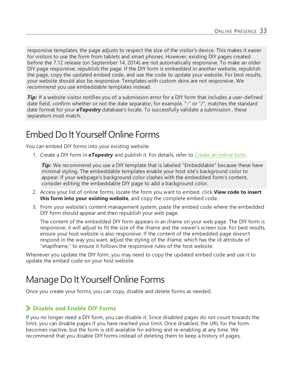responsive templates, the page adjusts to respect the size of the visitor's device. This makes it easier for visitors to use the form from tablets and smart phones. However, existing DIY pages created before the 7.12 release (on September 14, 2014) are not automatically responsive. To make an older DIY page responsive, republish the page. If the DIY form is embedded in another website, republish the page, copy the updated embed code, and use the code to update your website. For best results, your website should also be responsive. Templates with custom skins are not responsive. We recommend you use embeddable templates instead.

*Tip:* If a website visitor notifies you of a submission error for a DIY form that includes a user-defined date field, confirm whether or not the date separator, for example, "-" or "/", matches the standard date format for your *eTapestry* database's locale. To successfully validate a submission , these separators must match.

## <span id="page-32-0"></span>Embed Do It YourselfOnline Forms

You can embed DIY forms into your existing website.

1. Create a DIY form in *eTapestry* and publish it. For details, refer to [Create](https://www.blackbaud.com/files/support/helpfiles/etapestry/etapestry/content/tketapcreatewebform.html) an online form.

**Tip:** We recommend you use a DIY template that is labeled "Embeddable" because these have minimal styling. The embeddable templates enable your host site's background color to appear. If your webpage's background color clashes with the embedded form's content, consider editing the embeddable DIY page to add a background color.

- 2. Access your list of online forms, locate the form you want to embed, click **View code to insert this form into your existing website**, and copy the complete embed code.
- 3. From your website's content management system, paste the embed code where the embedded DIY form should appear and then republish your web page.

The content of the embedded DIY form appears in an iframe on your web page. The DIY form is responsive; it will adjust to fit the size of the iframe and the viewer's screen size. For best results, ensure your host website is also responsive. If the content of the embedded page doesn't respond in the way you want, adjust the styling of the iframe, which has the id attribute of "etapIframe," to ensure it follows the responsive rules of the host website.

Whenever you update the DIY form, you may need to copy the updated embed code and use it to update the embed code on your host website.

## <span id="page-32-1"></span>Manage Do It Yourself Online Forms

Once you create your forms, you can copy, disable and delete forms as needed.

### **Disable and Enable DIY Forms**

If you no longer need a DIY form, you can disable it. Since disabled pages do not count towards the limit, you can disable pages if you have reached your limit. Once disabled, the URL for the form becomes inactive, but the form is still available for editing and re-enabling at any time. We recommend that you disable DIY forms instead of deleting them to keep a history of pages.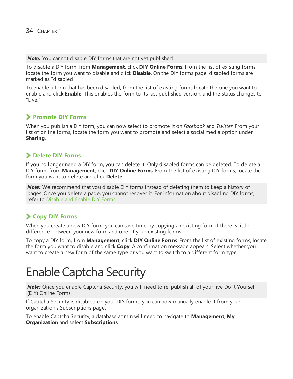*Note:* You cannot disable DIY forms that are not yet published.

To disable a DIY form, from **Management**, click **DIY Online Forms**. From the list of existing forms, locate the form you want to disable and click **Disable**. On the DIY forms page, disabled forms are marked as "disabled."

To enable a form that has been disabled, from the list of existing forms locate the one you want to enable and click **Enable**. This enables the form to its last published version, and the status changes to "Live."

### **Promote DIY Forms**

When you publish a DIY form, you can now select to promote it on *Facebook* and *Twitter*. From your list of online forms, locate the form you want to promote and select a social media option under **Sharing**.

### **Delete DIY Forms**

If you no longer need a DIY form, you can delete it. Only disabled forms can be deleted. To delete a DIY form, from **Management**, click **DIY Online Forms**. From the list of existing DIY forms, locate the form you want to delete and click **Delete**.

*Note:* We recommend that you disable DIY forms instead of deleting them to keep a history of pages. Once you delete a page, you cannot recover it. For information about disabling DIY forms, refer to Disable and Enable [DIY Forms.](https://www.blackbaud.com/files/support/helpfiles/etapestry/etapestry/content/etapdisablewebform.html)

### **Copy DIY Forms**

When you create a new DIY form, you can save time by copying an existing form if there is little difference between your new form and one of your existing forms.

To copy a DIY form, from **Management**, click **DIY Online Forms**. From the list of existing forms, locate the form you want to disable and click **Copy**. A confirmation message appears. Select whether you want to create a new form of the same type or you want to switch to a different form type.

## <span id="page-33-0"></span>**Enable Captcha Security**

*Note:* Once you enable Captcha Security, you will need to re-publish all of your live Do It Yourself (DIY) Online Forms.

If Captcha Security is disabled on your DIY forms, you can now manually enable it from your organization's Subscriptions page.

To enable Captcha Security, a database admin will need to navigate to **Management**, **My Organization** and select **Subscriptions**.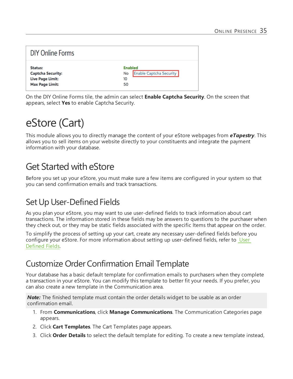| DIY Online Forms                                                                  |                                                                    |
|-----------------------------------------------------------------------------------|--------------------------------------------------------------------|
| Status:<br><b>Captcha Security:</b><br>Live Page Limit:<br><b>Max Page Limit:</b> | <b>Enabled</b><br><b>Enable Captcha Security</b><br>No<br>10<br>50 |

<span id="page-34-0"></span>On the DIY Online Forms tile, the admin can select **Enable Captcha Security**. On the screen that appears, select **Yes** to enable Captcha Security.

## eStore (Cart)

This module allows you to directly manage the content of your eStore webpages from *eTapestry*. This allows you to sell items on your website directly to your constituents and integrate the payment information with your database.

## <span id="page-34-1"></span>Get Started with eStore

Before you set up your eStore, you must make sure a few items are configured in your system so that you can send confirmation emails and track transactions.

## <span id="page-34-2"></span>Set Up User-Defined Fields

As you plan your eStore, you may want to use user-defined fields to track information about cart transactions. The information stored in these fields may be answers to questions to the purchaser when they check out, or they may be static fields associated with the specific Items that appear on the order.

To simplify the process of setting up your cart, create any necessary user-defined fields before you configure your eStore. For more information about setting up user-defined fields, refer to User Defined Fields.

## <span id="page-34-3"></span>Customize Order Confirmation Email Template

Your database has a basic default template for confirmation emails to purchasers when they complete a transaction in your eStore. You can modify this template to better fit your needs. If you prefer, you can also create a new template in the Communication area.

*Note:* The finished template must contain the order details widget to be usable as an order confirmation email.

- 1. From **Communications**, click **Manage Communications**. The Communication Categories page appears.
- 2. Click **Cart Templates**. The Cart Templates page appears.
- 3. Click **Order Details** to select the default template for editing. To create a new template instead,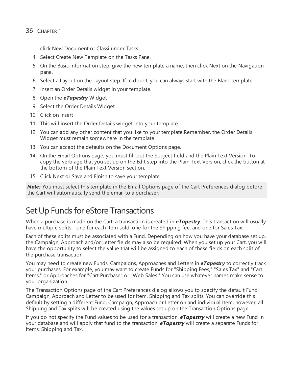click New Document or Classi under Tasks.

- 4. Select Create New Template on the Tasks Pane.
- 5. On the Basic Information step, give the new template a name, then click Next on the Navigation pane.
- 6. Select a Layout on the Layout step. If in doubt, you can always start with the Blank template.
- 7. Insert an Order Details widget in your template.
- 8. Open the *eTapestry* Widget
- 9. Select the Order Details Widget
- 10. Click on Insert
- 11. This will insert the Order Details widget into your template.
- 12. You can add any other content that you like to your template.Remember, the Order Details Widget must remain somewhere in the template!
- 13. You can accept the defaults on the Document Options page.
- 14. On the Email Options page, you must fill out the Subject field and the Plain Text Version. To copy the verbiage that you set up on the Edit step into the Plain Text Version, click the button at the bottom of the Plain Text Version section.
- 15. Click Next or Save and Finish to save your template.

*Note:* You must select this template in the Email Options page of the Cart Preferences dialog before the Cart will automatically send the email to a purchaser.

### <span id="page-35-0"></span>Set Up Funds for eStore Transactions

When a purchase is made on the Cart, a transaction is created in *eTapestry*. This transaction will usually have multiple splits - one for each Item sold, one for the Shipping fee, and one for Sales Tax.

Each of these splits must be associated with a Fund. Depending on how you have your database set up, the Campaign, Approach and/or Letter fields may also be required. When you set up your Cart, you will have the opportunity to select the value that will be assigned to each of these fields on each split of the purchase transaction.

You may need to create new Funds, Campaigns, Approaches and Letters in *eTapestry* to correctly track your purchases. For example, you may want to create Funds for "Shipping Fees," "Sales Tax" and "Cart Items," or Approaches for "Cart Purchase" or "Web Sales." You can use whatever names make sense to your organization.

The Transaction Options page of the Cart Preferences dialog allows you to specify the default Fund, Campaign, Approach and Letter to be used for Item, Shipping and Tax splits. You can override this default by setting a different Fund, Campaign, Approach or Letter on and individual Item, however, all Shipping and Tax splits will be created using the values set up on the Transaction Options page.

If you do not specify the Fund values to be used for a transaction, *eTapestry* will create a new Fund in your database and will apply that fund to the transaction. *eTapestry* will create a separate Funds for Items, Shipping and Tax.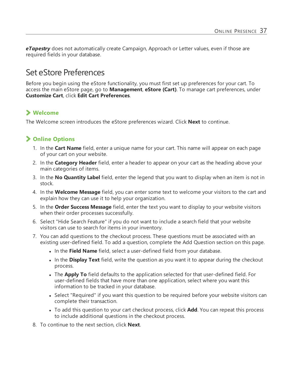**eTapestry** does not automatically create Campaign, Approach or Letter values, even if those are required fields in your database.

### <span id="page-36-0"></span>Set eStore Preferences

Before you begin using the eStore functionality, you must first set up preferences for your cart. To access the main eStore page, go to **Management**, **eStore (Cart)**. To manage cart preferences, under **Customize Cart**, click **Edit Cart Preferences**.

### **Welcome**

The Welcome screen introduces the eStore preferences wizard. Click **Next** to continue.

### **Online Options**

- 1. In the **Cart Name** field, enter a unique name for your cart. This name will appear on each page of your cart on your website.
- 2. In the **Category Header** field, enter a header to appear on your cart as the heading above your main categories of items.
- 3. In the **No Quantity Label** field, enter the legend that you want to display when an item is not in stock.
- 4. In the **Welcome Message** field, you can enter some text to welcome your visitors to the cart and explain how they can use it to help your organization.
- 5. In the **Order Success Message** field, enter the text you want to display to your website visitors when their order processes successfully.
- 6. Select "Hide Search Feature" if you do not want to include a search field that your website visitors can use to search for items in your inventory.
- 7. You can add questions to the checkout process. These questions must be associated with an existing user-defined field. To add a question, complete the Add Question section on this page.
	- **In the Field Name** field, select a user-defined field from your database.
	- In the **Display Text** field, write the question as you want it to appear during the checkout process.
	- **.** The **Apply To** field defaults to the application selected for that user-defined field. For user-defined fields that have more than one application, select where you want this information to be tracked in your database.
	- Select "Required" if you want this question to be required before your website visitors can complete their transaction.
	- To add this question to your cart checkout process, click **Add**. You can repeat this process to include additional questions in the checkout process.
- 8. To continue to the next section, click **Next**.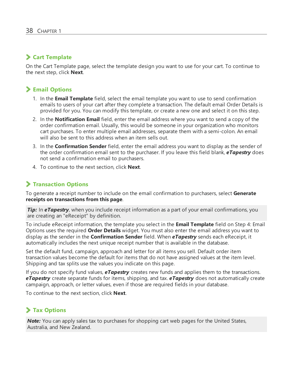### **Cart Template**

On the Cart Template page, select the template design you want to use for your cart. To continue to the next step, click **Next**.

### **Email Options**

- 1. In the **Email Template** field, select the email template you want to use to send confirmation emails to users of your cart after they complete a transaction. The default email Order Details is provided for you. You can modify this template, or create a new one and select it on this step.
- 2. In the **Notification Email** field, enter the email address where you want to send a copy of the order confirmation email. Usually, this would be someone in your organization who monitors cart purchases. To enter multiple email addresses, separate them with a semi-colon. An email will also be sent to this address when an item sells out.
- 3. In the **Confirmation Sender** field, enter the email address you want to display as the sender of the order confirmation email sent to the purchaser. If you leave this field blank, *eTapestry* does not send a confirmation email to purchasers.
- 4. To continue to the next section, click **Next**.

### **Transaction Options**

To generate a receipt number to include on the email confirmation to purchasers, select **Generate receipts on transactions from this page**.

*Tip:* In eTapestry, when you include receipt information as a part of your email confirmations, you are creating an "eReceipt" by definition.

To include eReceipt information, the template you select in the **Email Template** field on Step 4: Email Options uses the required **Order Details** widget. You must also enter the email address you want to display as the sender in the **Confirmation Sender** field. When *eTapestry* sends each eReceipt, it automatically includes the next unique receipt number that is available in the database.

Set the default fund, campaign, approach and letter for all items you sell. Default order item transaction values become the default for items that do not have assigned values at the item level. Shipping and tax splits use the values you indicate on this page.

If you do not specify fund values, *eTapestry* creates new funds and applies them to the transactions. *eTapestry* create separate funds for items, shipping, and tax. *eTapestry* does not automatically create campaign, approach, or letter values, even if those are required fields in your database.

To continue to the next section, click **Next**.

### **Tax Options**

*Note:* You can apply sales tax to purchases for shopping cart web pages for the United States, Australia, and New Zealand.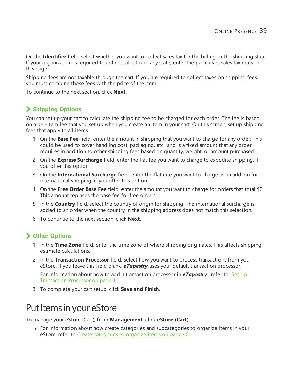On the **Identifier** field, select whether you want to collect sales tax for the billing or the shipping state. If your organization is required to collect sales tax in any state, enter the particulars sales tax rates on this page.

Shipping fees are not taxable through the cart. If you are required to collect taxes on shipping fees, you must combine those fees with the price of the item.

To continue to the next section, click **Next**.

### **Shipping Options**

You can set up your cart to calculate the shipping fee to be charged for each order. The fee is based on a per-item fee that you set up when you create an item in your cart. On this screen, set up shipping fees that apply to all items.

- 1. On the **Base Fee** field, enter the amount in shipping that you want to charge for any order. This could be used to cover handling cost, packaging, etc., and is a fixed amount that any order requires in addition to other shipping fees based on quantity, weight, or amount purchased.
- 2. On the **Express Surcharge** field, enter the flat fee you want to charge to expedite shipping, if you offer this option.
- 3. On the **International Surcharge** field, enter the flat rate you want to charge as an add-on for international shipping, if you offer this option.
- 4. On the **Free Order Base Fee** field, enter the amount you want to charge for orders that total \$0. This amount replaces the base fee for free orders.
- 5. In the **Country** field, select the country of origin for shipping. The international surcharge is added to an order when the country in the shipping address does not match this selection.
- 6. To continue to the next section, click **Next**.

### **Other Options**

- 1. In the **Time Zone** field, enter the time zone of where shipping originates. This affects shipping estimate calculations.
- 2. In the **Transaction Processor** field, select how you want to process transactions from your eStore. If you leave this field blank, *eTapestry* uses your default transaction processor.

For information about how to add a transaction processor in **eTapestry**, refer to Set Up Transaction Processor on page 1.

<span id="page-38-0"></span>3. To complete your cart setup, click **Save and Finish**.

## Put Items in your eStore

To manage your eStore (Cart), from **Management**, click **eStore (Cart)**.

• For information about how create categories and subcategories to organize items in your eStore, refer to Create [categories](#page-39-0) to organize items on page 40.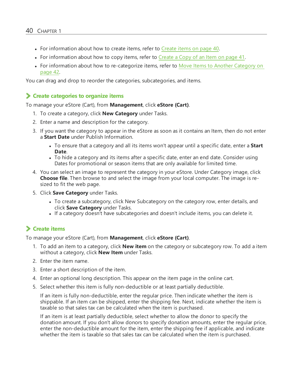- For information about how to create items, refer to [Create](#page-39-1) items on page  $40$ .
- For information about how to copy items, refer to [Create](#page-40-0) a Copy of an Item on page 41.
- For information about how to re-categorize items, refer to Move Items to Another [Category](#page-41-0) on [page](#page-41-0) 42.

You can drag and drop to reorder the categories, subcategories, and items.

#### <span id="page-39-0"></span>**Create categories to organize items**

To manage your eStore (Cart), from **Management**, click **eStore (Cart)**.

- 1. To create a category, click **New Category** under Tasks.
- 2. Enter a name and description for the category.
- 3. If you want the category to appear in the eStore as soon as it contains an Item, then do not enter a **Start Date** under Publish Information.
	- To ensure that a category and all its items won't appear until a specific date, enter a **Start Date**.
	- To hide a category and its items after a specific date, enter an end date. Consider using Dates for promotional or season items that are only available for limited time.
- 4. You can select an image to represent the category in your eStore. Under Category image, click **Choose file**. Then browse to and select the image from your local computer. The image is resized to fit the web page.
- 5. Click **Save Category** under Tasks.
	- To create a subcategory, click New Subcategory on the category row, enter details, and click **Save Category** under Tasks.
	- . If a category doesn't have subcategories and doesn't include items, you can delete it.

### <span id="page-39-1"></span>**Create items**

To manage your eStore (Cart), from **Management**, click **eStore (Cart)**.

- 1. To add an item to a category, click **New item** on the category or subcategory row. To add a item without a category, click **New Item** under Tasks.
- 2. Enter the item name.
- 3. Enter a short description of the item.
- 4. Enter an optional long description. This appear on the item page in the online cart.
- 5. Select whether this item is fully non-deductible or at least partially deductible.

If an item is fully non-deductible, enter the regular price. Then indicate whether the item is shippable. If an item can be shipped, enter the shipping fee. Next, indicate whether the item is taxable so that sales tax can be calculated when the item is purchased.

If an item is at least partially deductible, select whether to allow the donor to specify the donation amount. If you don't allow donors to specify donation amounts, enter the regular price, enter the non-deductible amount for the item, enter the shipping fee if applicable, and indicate whether the item is taxable so that sales tax can be calculated when the item is purchased.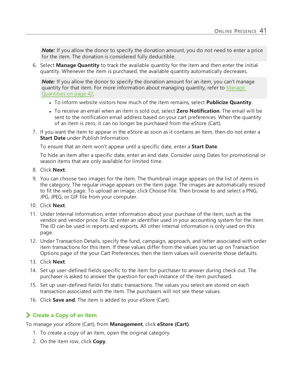*Note:* If you allow the donor to specify the donation amount, you do not need to enter a price for the item. The donation is considered fully deductible.

6. Select **Manage Quantity** to track the available quantity for the item and then enter the initial quantity. Whenever the item is purchased, the available quantity automatically decreases.

*Note:* If you allow the donor to specify the donation amount for an item, you can't manage quantity for that item. For more information about managing quantity, refer to [Manage](#page-41-1) [Quantities](#page-41-1) on page 42.

- <sup>l</sup> To inform website visitors how much of the item remains, select **Publicize Quantity**.
- <sup>l</sup> To receive an email when an item is sold out, select **Zero Notification**. The email will be sent to the notification email address based on your cart preferences. When the quantity of an item is zero, it can no longer be purchased from the eStore (Cart).
- 7. If you want the item to appear in the eStore as soon as it contains an Item, then do not enter a **Start Date** under Publish Information.

To ensure that an item won't appear until a specific date, enter a **Start Date**.

To hide an item after a specific date, enter an end date. Consider using Dates for promotional or season items that are only available for limited time.

- 8. Click **Next**.
- 9. You can choose two images for the item. The thumbnail image appears on the list of items in the category. The regular image appears on the item page. The images are automatically resized to fit the web page. To upload an image, click Choose File. Then browse to and select a PNG, JPG, JPEG, or GIF file from your computer.
- 10. Click **Next**.
- 11. Under Internal Information, enter information about your purchase of the item, such as the vendor and vendor price. For ID, enter an identifier used in your accounting system for the item. The ID can be used in reports and exports. All other internal information is only used on this page.
- 12. Under Transaction Details, specify the fund, campaign, approach, and letter associated with order item transactions for this item. If these values differ from the values you set up on Transaction Options page of the your Cart Preferences, then the item values will overwrite those defaults.
- 13. Click **Next**.
- 14. Set up user-defined fields specific to the item for purchaser to answer during check out. The purchaser is asked to answer the question for each instance of the item purchased.
- 15. Set up user-defined fields for static transactions. The values you select are stored on each transaction associated with the item. The purchasers will not see these values.
- <span id="page-40-0"></span>16. Click **Save and**. The item is added to your eStore (Cart).

### **Create a Copy of an Item**

To manage your eStore (Cart), from **Management**, click **eStore (Cart)**.

- 1. To create a copy of an item, open the original category.
- 2. On the item row, click **Copy**.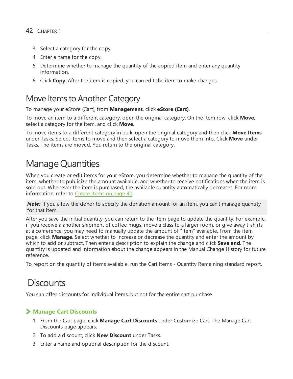- 3. Select a category for the copy.
- 4. Enter a name for the copy.
- 5. Determine whether to manage the quantity of the copied item and enter any quantity information.
- 6. Click **Copy**. After the item is copied, you can edit the item to make changes.

### <span id="page-41-0"></span>Move Items to Another Category

To manage your eStore (Cart), from **Management**, click **eStore (Cart)**.

To move an item to a different category, open the original category. On the item row, click **Move**, select a category for the item, and click **Move**.

To move items to a different category in bulk, open the original category and then click **Move Items** under Tasks. Select items to move and then select a category to move them into. Click **Move** under Tasks. The items are moved. You return to the original category.

## <span id="page-41-1"></span>Manage Quantities

When you create or edit items for your eStore, you determine whether to manage the quantity of the item, whether to publicize the amount available, and whether to receive notifications when the item is sold out. Whenever the item is purchased, the available quantity automatically decreases. For more information, refer to [Create](#page-39-1) items on page 40.

*Note:* If you allow the donor to specify the donation amount for an item, you can't manage quantity for that item.

After you save the initial quantity, you can return to the item page to update the quantity. For example, if you receive a another shipment of coffee mugs, move a class to a larger room, or give away t-shirts at a conference, you may need to manually update the amount of "item" available. From the item page, click **Manage**. Select whether to increase or decrease the quantity and enter the amount by which to add or subtract. Then enter a description to explain the change and click **Save and**. The quantity is updated and information about the change appears in the Manual Change History for future reference.

<span id="page-41-2"></span>To report on the quantity of items available, run the Cart Items - Quantity Remaining standard report.

## **Discounts**

You can offer discounts for individual items, but not for the entire cart purchase.

### **Manage Cart Discounts**

- 1. From the Cart page, click **Manage Cart Discounts** under Customize Cart. The Manage Cart Discounts page appears.
- 2. To add a discount, click **New Discount** under Tasks.
- 3. Enter a name and optional description for the discount.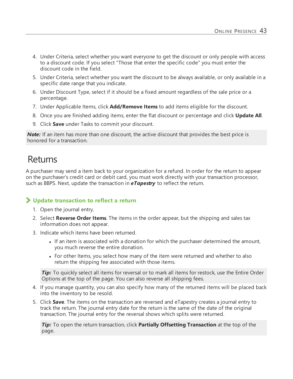- 4. Under Criteria, select whether you want everyone to get the discount or only people with access to a discount code. If you select "Those that enter the specific code" you must enter the discount code in the field.
- 5. Under Criteria, select whether you want the discount to be always available, or only available in a specific date range that you indicate.
- 6. Under Discount Type, select if it should be a fixed amount regardless of the sale price or a percentage.
- 7. Under Applicable Items, click **Add/Remove Items** to add items eligible for the discount.
- 8. Once you are finished adding items, enter the flat discount or percentage and click **Update All**.
- 9. Click **Save** under Tasks to commit your discount.

**Note:** If an item has more than one discount, the active discount that provides the best price is honored for a transaction.

## <span id="page-42-0"></span>Returns

A purchaser may send a item back to your organization for a refund. In order for the return to appear on the purchaser's credit card or debit card, you must work directly with your transaction processor, such as BBPS. Next, update the transaction in *eTapestry* to reflect the return.

### **Update transaction to reflect a return**

- 1. Open the journal entry.
- 2. Select **Reverse Order Items**. The items in the order appear, but the shipping and sales tax information does not appear.
- 3. Indicate which items have been returned.
	- If an item is associated with a donation for which the purchaser determined the amount, you much reverse the entire donation.
	- For other Items, you select how many of the item were returned and whether to also return the shipping fee associated with those items.

*Tip:* To quickly select all items for reversal or to mark all items for restock, use the Entire Order Options at the top of the page. You can also reverse all shipping fees.

- 4. If you manage quantity, you can also specify how many of the returned items will be placed back into the inventory to be resold.
- 5. Click **Save**. The items on the transaction are reversed and eTapestry creates a journal entry to track the return. The journal entry date for the return is the same of the date of the original transaction. The journal entry for the reversal shows which splits were returned.

*Tip:* To open the return transaction, click **Partially Offsetting Transaction** at the top of the page.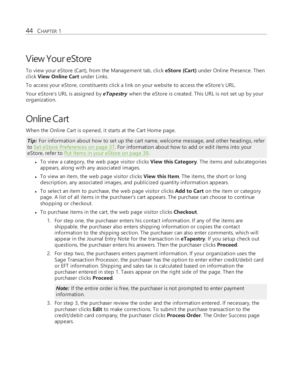## <span id="page-43-0"></span>ViewYour eStore

To view your eStore (Cart), from the Management tab, click **eStore (Cart)** under Online Presence. Then click **View Online Cart** under Links.

To access your eStore, constituents click a link on your website to access the eStore's URL.

Your eStore's URL is assigned by *eTapestry* when the eStore is created. This URL is not set up by your organization.

## <span id="page-43-1"></span>Online Cart

When the Online Cart is opened, it starts at the Cart Home page.

*Tip***:** For information about how to set up the cart name, welcome message, and other headings, refer to Set eStore [Preferences](#page-36-0) on page 37. For information about how to add or edit items into your eStore, refer to Put Items in your [eStore](#page-38-0) on page 39.

- <sup>l</sup> To view a category, the web page visitor clicks **View this Category**. The items and subcategories appears, along with any associated images.
- <sup>l</sup> To view an item, the web page visitor clicks **View this Item**. The items, the short or long description, any associated images, and publicized quantity information appears.
- <sup>l</sup> To select an item to purchase, the web page visitor clicks **Add to Cart** on the item or category page. A list of all items in the purchaser's cart appears. The purchase can choose to continue shopping or checkout.
- To purchase items in the cart, the web page visitor clicks **Checkout**.
	- 1. For step one, the purchaser enters his contact information. If any of the items are shippable, the purchaser also enters shipping information or copies the contact information to the shipping section. The purchaser can also enter comments, which will appear in the Journal Entry Note for the transaction in **eTapestry**. If you setup check out questions, the purchaser enters his answers. Then the purchaser clicks **Proceed**.
	- 2. For step two, the purchasers enters payment information. If your organization uses the Sage Transaction Processor, the purchaser has the option to enter either credit/debit card or EFT information. Shipping and sales tax is calculated based on information the purchaser entered in step 1. Taxes appear on the right side of the page. Then the purchaser clicks **Proceed**.

*Note:* If the entire order is free, the purchaser is not prompted to enter payment information.

3. For step 3, the purchaser review the order and the information entered. If necessary, the purchaser clicks **Edit** to make corrections. To submit the purchase transaction to the credit/debit card company, the purchaser clicks **Process Order**. The Order Success page appears.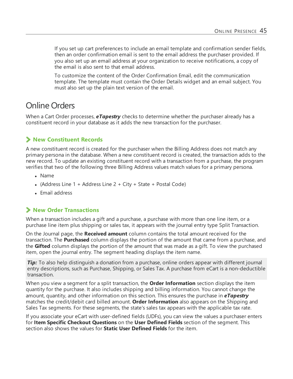If you set up cart preferences to include an email template and confirmation sender fields, then an order confirmation email is sent to the email address the purchaser provided. If you also set up an email address at your organization to receive notifications, a copy of the email is also sent to that email address.

To customize the content of the Order Confirmation Email, edit the communication template. The template must contain the Order Details widget and an email subject. You must also set up the plain text version of the email.

## <span id="page-44-0"></span>Online Orders

When a Cart Order processes, *eTapestry* checks to determine whether the purchaser already has a constituent record in your database as it adds the new transaction for the purchaser.

### **New Constituent Records**

A new constituent record is created for the purchaser when the Billing Address does not match any primary persona in the database. When a new constituent record is created, the transaction adds to the new record. To update an existing constituent record with a transaction from a purchase, the program verifies that two of the following three Billing Address values match values for a primary persona.

- Name
- (Address Line  $1 +$  Address Line  $2 +$  City + State + Postal Code)
- Email address

### **New Order Transactions**

When a transaction includes a gift and a purchase, a purchase with more than one line item, or a purchase line item plus shipping or sales tax, it appears with the journal entry type Split Transaction.

On the Journal page, the **Received amount** column contains the total amount received for the transaction. The **Purchased** column displays the portion of the amount that came from a purchase, and the **Gifted** column displays the portion of the amount that was made as a gift. To view the purchased item, open the journal entry. The segment heading displays the item name.

*Tip*: To also help distinguish a donation from a purchase, online orders appear with different journal entry descriptions, such as Purchase, Shipping, or Sales Tax. A purchase from eCart is a non-deductible transaction.

When you view a segment for a split transaction, the **Order Information** section displays the item quantity for the purchase. It also includes shipping and billing information. You cannot change the amount, quantity, and other information on this section. This ensures the purchase in *eTapestry* matches the credit/debit card billed amount. **Order Information** also appears on the Shipping and Sales Tax segments. For these segments, the state's sales tax appears with the applicable tax rate.

If you associate your eCart with user-defined fields (UDFs), you can view the values a purchaser enters for **Item Specific Checkout Questions** on the **User Defined Fields** section of the segment. This section also shows the values for **Static User Defined Fields** for the item.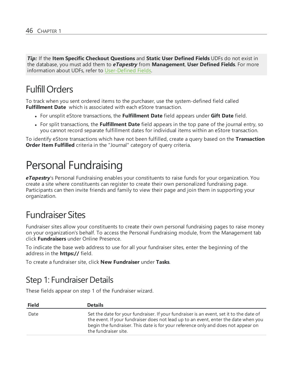*Tip:* If the **Item Specific Checkout Questions** and **Static User Defined Fields** UDFs do not exist in the database, you must add them to *eTapestry* from **Management**, **User Defined Fields**. For more information about UDFs, refer to [User-Defined](https://www.blackbaud.com/files/support/helpfiles/etapestry/etapestry/default_csh.html#etapuserdefinedfields.html) Fields.

## <span id="page-45-0"></span>FulfillOrders

To track when you sent ordered items to the purchaser, use the system-defined field called **Fulfillment Date** which is associated with each eStore transaction.

- <sup>l</sup> For unsplit eStore transactions, the **Fulfillment Date** field appears under **Gift Date** field.
- <sup>l</sup> For split transactions, the **Fulfillment Date** field appears in the top pane of the journal entry, so you cannot record separate fulfillment dates for individual items within an eStore transaction.

<span id="page-45-1"></span>To identify eStore transactions which have not been fulfilled, create a query based on the **Transaction Order Item Fulfilled** criteria in the "Journal" category of query criteria.

## Personal Fundraising

*eTapestry*'s Personal Fundraising enables your constituents to raise funds for your organization. You create a site where constituents can register to create their own personalized fundraising page. Participants can then invite friends and family to view their page and join them in supporting your organization.

## <span id="page-45-2"></span>Fundraiser Sites

Fundraiser sites allow your constituents to create their own personal fundraising pages to raise money on your organization's behalf. To access the Personal Fundraising module, from the Management tab click **Fundraisers** under Online Presence.

To indicate the base web address to use for all your fundraiser sites, enter the beginning of the address in the **https://** field.

<span id="page-45-3"></span>To create a fundraiser site, click **New Fundraiser** under **Tasks**.

### Step 1: Fundraiser Details

These fields appear on step 1 of the Fundraiser wizard.

| <b>Field</b> | <b>Details</b>                                                                                                                                                                                                                                                                              |
|--------------|---------------------------------------------------------------------------------------------------------------------------------------------------------------------------------------------------------------------------------------------------------------------------------------------|
| Date         | Set the date for your fundraiser. If your fundraiser is an event, set it to the date of<br>the event. If your fundraiser does not lead up to an event, enter the date when you<br>begin the fundraiser. This date is for your reference only and does not appear on<br>the fundraiser site. |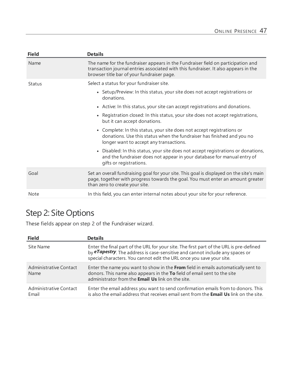| <b>Field</b>  | <b>Details</b>                                                                                                                                                                                                        |
|---------------|-----------------------------------------------------------------------------------------------------------------------------------------------------------------------------------------------------------------------|
| Name          | The name for the fundraiser appears in the Fundraiser field on participation and<br>transaction journal entries associated with this fundraiser. It also appears in the<br>browser title bar of your fundraiser page. |
| <b>Status</b> | Select a status for your fundraiser site.                                                                                                                                                                             |
|               | • Setup/Preview: In this status, your site does not accept registrations or<br>donations.                                                                                                                             |
|               | • Active: In this status, your site can accept registrations and donations.                                                                                                                                           |
|               | • Registration closed: In this status, your site does not accept registrations,<br>but it can accept donations.                                                                                                       |
|               | • Complete: In this status, your site does not accept registrations or<br>donations. Use this status when the fundraiser has finished and you no<br>longer want to accept any transactions.                           |
|               | Disabled: In this status, your site does not accept registrations or donations,<br>$\bullet$<br>and the fundraiser does not appear in your database for manual entry of<br>gifts or registrations.                    |
| Goal          | Set an overall fundraising goal for your site. This goal is displayed on the site's main<br>page, together with progress towards the goal. You must enter an amount greater<br>than zero to create your site.         |
| Note          | In this field, you can enter internal notes about your site for your reference.                                                                                                                                       |

## <span id="page-46-0"></span>Step 2: Site Options

These fields appear on step 2 of the Fundraiser wizard.

| <b>Field</b>                          | <b>Details</b>                                                                                                                                                                                                                                          |
|---------------------------------------|---------------------------------------------------------------------------------------------------------------------------------------------------------------------------------------------------------------------------------------------------------|
| Site Name                             | Enter the final part of the URL for your site. The first part of the URL is pre-defined<br>by <b>eTapestry</b> . The address is case-sensitive and cannot include any spaces or<br>special characters. You cannot edit the URL once you save your site. |
| <b>Administrative Contact</b><br>Name | Enter the name you want to show in the From field in emails automatically sent to<br>donors. This name also appears in the To field of email sent to the site<br>administrator from the <b>Email Us</b> link on the site.                               |
| Administrative Contact<br>Email       | Enter the email address you want to send confirmation emails from to donors. This<br>is also the email address that receives email sent from the Email Us link on the site.                                                                             |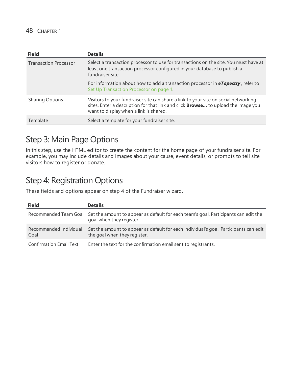| <b>Field</b>                 | <b>Details</b>                                                                                                                                                                                                     |
|------------------------------|--------------------------------------------------------------------------------------------------------------------------------------------------------------------------------------------------------------------|
| <b>Transaction Processor</b> | Select a transaction processor to use for transactions on the site. You must have at<br>least one transaction processor configured in your database to publish a<br>fundraiser site.                               |
|                              | For information about how to add a transaction processor in <b>eTapestry</b> , refer to<br>Set Up Transaction Processor on page 1.                                                                                 |
| <b>Sharing Options</b>       | Visitors to your fundraiser site can share a link to your site on social networking<br>sites. Enter a description for that link and click Browse to upload the image you<br>want to display when a link is shared. |
| Template                     | Select a template for your fundraiser site.                                                                                                                                                                        |

## <span id="page-47-0"></span>Step 3: Main Page Options

In this step, use the HTML editor to create the content for the home page of your fundraiser site. For example, you may include details and images about your cause, event details, or prompts to tell site visitors how to register or donate.

## <span id="page-47-1"></span>Step 4: Registration Options

These fields and options appear on step 4 of the Fundraiser wizard.

| <b>Field</b>                   | <b>Details</b>                                                                                                                        |
|--------------------------------|---------------------------------------------------------------------------------------------------------------------------------------|
|                                | Recommended Team Goal Set the amount to appear as default for each team's goal. Participants can edit the<br>goal when they register. |
| Recommended Individual<br>Goal | Set the amount to appear as default for each individual's goal. Participants can edit<br>the goal when they register.                 |
| <b>Confirmation Email Text</b> | Enter the text for the confirmation email sent to registrants.                                                                        |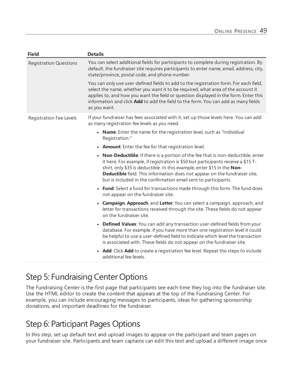| <b>Field</b>                  | <b>Details</b>                                                                                                                                                                                                                                                                                                                                                                                   |
|-------------------------------|--------------------------------------------------------------------------------------------------------------------------------------------------------------------------------------------------------------------------------------------------------------------------------------------------------------------------------------------------------------------------------------------------|
| <b>Registration Questions</b> | You can select additional fields for participants to complete during registration. By<br>default, the fundraiser site requires participants to enter name, email, address, city,<br>state/province, postal code, and phone number.                                                                                                                                                               |
|                               | You can only use user-defined fields to add to the registration form. For each field,<br>select the name, whether you want it to be required, what area of the account it<br>applies to, and how you want the field or question displayed in the form. Enter this<br>information and click Add to add the field to the form. You can add as many fields<br>as you want.                          |
| Registration Fee Levels       | If your fundraiser has fees associated with it, set up those levels here. You can add<br>as many registration fee levels as you need.                                                                                                                                                                                                                                                            |
|                               | • Name: Enter the name for the registration level, such as "Individual<br>Registration."                                                                                                                                                                                                                                                                                                         |
|                               | • Amount: Enter the fee for that registration level.                                                                                                                                                                                                                                                                                                                                             |
|                               | • Non-Deductible: If there is a portion of the fee that is non-deductible, enter<br>it here. For example, if registration is \$50 but participants receive a \$15 T-<br>shirt, only \$35 is deductible. In this example, enter \$15 in the Non-<br>Deductible field. This information does not appear on the fundraiser site,<br>but is included in the confirmation email sent to participants. |
|                               | • Fund: Select a fund for transactions made through this form. The fund does<br>not appear on the fundraiser site.                                                                                                                                                                                                                                                                               |
|                               | • Campaign, Approach, and Letter: You can select a campaign, approach, and<br>letter for transactions received through the site. These fields do not appear<br>on the fundraiser site.                                                                                                                                                                                                           |
|                               | • Defined Values: You can add any transaction user-defined fields from your<br>database. For example, if you have more than one registration level it could<br>be helpful to use a user-defined field to indicate which level the transaction<br>is associated with. These fields do not appear on the fundraiser site.                                                                          |
|                               | • Add: Click Add to create a registration fee level. Repeat the steps to include<br>additional fee levels.                                                                                                                                                                                                                                                                                       |

## <span id="page-48-0"></span>Step 5: Fundraising Center Options

The Fundraising Center is the first page that participants see each time they log into the fundraiser site. Use the HTML editor to create the content that appears at the top of the Fundraising Center. For example, you can include encouraging messages to participants, ideas for gathering sponsorship donations, and important deadlines for the fundraiser.

## <span id="page-48-1"></span>Step 6: Participant Pages Options

In this step, set up default text and upload images to appear on the participant and team pages on your fundraiser site. Participants and team captains can edit this text and upload a different image once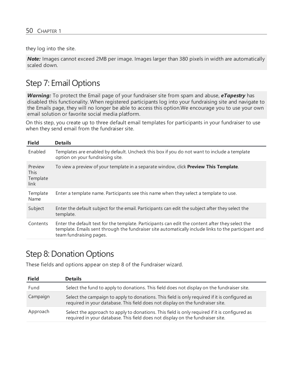they log into the site.

*Note:* Images cannot exceed 2MB per image. Images larger than 380 pixels in width are automatically scaled down.

## <span id="page-49-0"></span>Step 7: Email Options

*Warning:* To protect the Email page of your fundraiser site from spam and abuse, *eTapestry* has disabled this functionality. When registered participants log into your fundraising site and navigate to the Emails page, they will no longer be able to access this option.We encourage you to use your own email solution or favorite social media platform.

On this step, you create up to three default email templates for participants in your fundraiser to use when they send email from the fundraiser site.

| <b>Field</b>                               | <b>Details</b>                                                                                                                                                                                                                      |
|--------------------------------------------|-------------------------------------------------------------------------------------------------------------------------------------------------------------------------------------------------------------------------------------|
| Enabled                                    | Templates are enabled by default. Uncheck this box if you do not want to include a template<br>option on your fundraising site.                                                                                                     |
| Preview<br><b>This</b><br>Template<br>link | To view a preview of your template in a separate window, click Preview This Template.                                                                                                                                               |
| Template<br>Name                           | Enter a template name. Participants see this name when they select a template to use.                                                                                                                                               |
| Subject                                    | Enter the default subject for the email. Participants can edit the subject after they select the<br>template.                                                                                                                       |
| Contents                                   | Enter the default text for the template. Participants can edit the content after they select the<br>template. Emails sent through the fundraiser site automatically include links to the participant and<br>team fundraising pages. |

### <span id="page-49-1"></span>Step 8: Donation Options

These fields and options appear on step 8 of the Fundraiser wizard.

| <b>Field</b> | <b>Details</b>                                                                                                                                                                  |
|--------------|---------------------------------------------------------------------------------------------------------------------------------------------------------------------------------|
| Fund         | Select the fund to apply to donations. This field does not display on the fundraiser site.                                                                                      |
| Campaign     | Select the campaign to apply to donations. This field is only required if it is configured as<br>required in your database. This field does not display on the fundraiser site. |
| Approach     | Select the approach to apply to donations. This field is only required if it is configured as<br>required in your database. This field does not display on the fundraiser site. |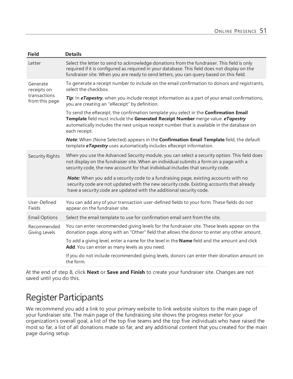| <b>Details</b>                                                                                                                                                                                                                                                                                |
|-----------------------------------------------------------------------------------------------------------------------------------------------------------------------------------------------------------------------------------------------------------------------------------------------|
| Select the letter to send to acknowledge donations from the fundraiser. This field is only<br>required if it is configured as required in your database. This field does not display on the<br>fundraiser site. When you are ready to send letters, you can query based on this field.        |
| To generate a receipt number to include on the email confirmation to donors and registrants,<br>select the checkbox.                                                                                                                                                                          |
| Tip: In eTapestry, when you include receipt information as a part of your email confirmations,<br>you are creating an "eReceipt" by definition.                                                                                                                                               |
| To send the eReceipt, the confirmation template you select in the <b>Confirmation Email</b><br>Template field must include the Generated Receipt Number merge value. eTapestry<br>automatically includes the next unique receipt number that is available in the database on<br>each receipt. |
| Note: When (None Selected) appears in the Confirmation Email Template field, the default<br>template <b>eTapestry</b> uses automatically includes eReceipt information.                                                                                                                       |
| When you use the Advanced Security module, you can select a security option. This field does<br>not display on the fundraiser site. When an individual submits a form on a page with a<br>security code, the new account for that individual includes that security code.                     |
| Note: When you add a security code to a fundraising page, existing accounts with no<br>security code are not updated with the new security code. Existing accounts that already<br>have a security code are updated with the additional security code.                                        |
| You can add any of your transaction user-defined fields to your form. These fields do not<br>appear on the fundraiser site.                                                                                                                                                                   |
| Select the email template to use for confirmation email sent from the site.                                                                                                                                                                                                                   |
| You can enter recommended giving levels for the fundraiser site. These levels appear on the<br>donation page, along with an "Other" field that allows the donor to enter any other amount.                                                                                                    |
| To add a giving level, enter a name for the level in the Name field and the amount and click<br>Add. You can enter as many levels as you need.                                                                                                                                                |
| If you do not include recommended giving levels, donors can enter their donation amount on<br>the form.                                                                                                                                                                                       |
|                                                                                                                                                                                                                                                                                               |

At the end of step 8, click **Next** or **Save and Finish** to create your fundraiser site. Changes are not saved until you do this.

## <span id="page-50-0"></span>Register Participants

We recommend you add a link to your primary website to link website visitors to the main page of your fundraiser site. The main page of the fundraising site shows the progress meter for your organization's overall goal, a list of the top five teams and the top five individuals who have raised the most so far, a list of all donations made so far, and any additional content that you created for the main page during setup.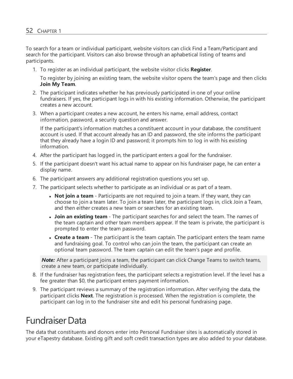To search for a team or individual participant, website visitors can click Find a Team/Participant and search for the participant. Visitors can also browse through an aphabetical listing of teams and participants.

1. To register as an individual participant, the website visitor clicks **Register**.

To register by joining an existing team, the website visitor opens the team's page and then clicks **Join My Team**.

- 2. The participant indicates whether he has previously participated in one of your online fundraisers. If yes, the participant logs in with his existing information. Otherwise, the participant creates a new account.
- 3. When a participant creates a new account, he enters his name, email address, contact information, password, a security question and answer.

If the participant's information matches a constituent account in your database, the constituent account is used. If that account already has an ID and password, the site informs the participant that they already have a login ID and password; it prompts him to log in with his existing information.

- 4. After the participant has logged in, the participant enters a goal for the fundraiser.
- 5. If the participant doesn't want his actual name to appear on his fundraiser page, he can enter a display name.
- 6. The participant answers any additional registration questions you set up.
- 7. The participant selects whether to participate as an individual or as part of a team.
	- **Not join a team** Participants are not required to join a team. If they want, they can choose to join a team later. To join a team later, the participant logs in, click Join a Team, and then either creates a new team or searches for an existing team.
	- **Join an existing team** The participant searches for and select the team. The names of the team captain and other team members appear. If the team is private, the participant is prompted to enter the team password.
	- **Create a team** The participant is the team captain. The participant enters the team name and fundraising goal. To control who can join the team, the participant can create an optional team password. The team captain can edit the team's page and profile.

*Note:* After a participant joins a team, the participant can click Change Teams to switch teams, create a new team, or participate individually.

- 8. If the fundraiser has registration fees, the participant selects a registration level. If the level has a fee greater than \$0, the participant enters payment information.
- 9. The participant reviews a summary of the registration information. After verifying the data, the participant clicks **Next**. The registration is processed. When the registration is complete, the participant can log in to the fundraiser site and edit his personal fundraising page.

## <span id="page-51-0"></span>FundraiserData

The data that constituents and donors enter into Personal Fundraiser sites is automatically stored in your eTapestry database. Existing gift and soft credit transaction types are also added to your database.